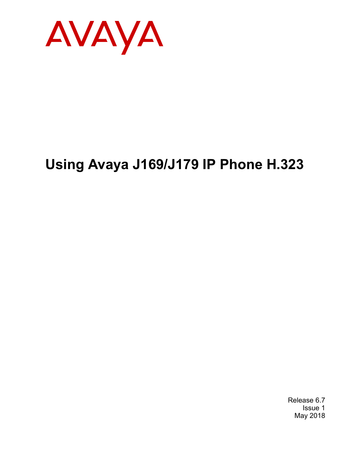

# **Using Avaya J169/J179 IP Phone H.323**

Release 6.7 Issue 1 May 2018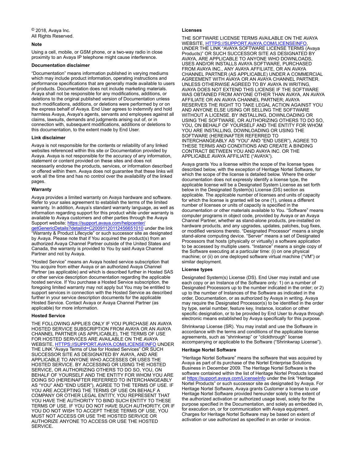$\degree$  2018, Avaya Inc. All Rights Reserved.

#### **Note**

Using a cell, mobile, or GSM phone, or a two-way radio in close proximity to an Avaya IP telephone might cause interference.

#### **Documentation disclaimer**

"Documentation" means information published in varying mediums which may include product information, operating instructions and performance specifications that are generally made available to users of products. Documentation does not include marketing materials. Avaya shall not be responsible for any modifications, additions, or deletions to the original published version of Documentation unless such modifications, additions, or deletions were performed by or on the express behalf of Avaya. End User agrees to indemnify and hold harmless Avaya, Avaya's agents, servants and employees against all claims, lawsuits, demands and judgments arising out of, or in connection with, subsequent modifications, additions or deletions to this documentation, to the extent made by End User.

#### **Link disclaimer**

Avaya is not responsible for the contents or reliability of any linked websites referenced within this site or Documentation provided by Avaya. Avaya is not responsible for the accuracy of any information, statement or content provided on these sites and does not necessarily endorse the products, services, or information described or offered within them. Avaya does not guarantee that these links will work all the time and has no control over the availability of the linked pages.

#### **Warranty**

Avaya provides a limited warranty on Avaya hardware and software. Refer to your sales agreement to establish the terms of the limited warranty. In addition, Avaya's standard warranty language, as well as information regarding support for this product while under warranty is available to Avaya customers and other parties through the Avaya Support website: [https://support.avaya.com/helpcenter/](https://support.avaya.com/helpcenter/getGenericDetails?detailId=C20091120112456651010) [getGenericDetails?detailId=C20091120112456651010](https://support.avaya.com/helpcenter/getGenericDetails?detailId=C20091120112456651010) under the link "Warranty & Product Lifecycle" or such successor site as designated by Avaya. Please note that if You acquired the product(s) from an authorized Avaya Channel Partner outside of the United States and Canada, the warranty is provided to You by said Avaya Channel Partner and not by Avaya.

"Hosted Service" means an Avaya hosted service subscription that You acquire from either Avaya or an authorized Avaya Channel Partner (as applicable) and which is described further in Hosted SAS or other service description documentation regarding the applicable hosted service. If You purchase a Hosted Service subscription, the foregoing limited warranty may not apply but You may be entitled to support services in connection with the Hosted Service as described further in your service description documents for the applicable Hosted Service. Contact Avaya or Avaya Channel Partner (as applicable) for more information.

#### **Hosted Service**

THE FOLLOWING APPLIES ONLY IF YOU PURCHASE AN AVAYA HOSTED SERVICE SUBSCRIPTION FROM AVAYA OR AN AVAYA CHANNEL PARTNER (AS APPLICABLE), THE TERMS OF USE FOR HOSTED SERVICES ARE AVAILABLE ON THE AVAYA WEBSITE, [HTTPS://SUPPORT.AVAYA.COM/LICENSEINFO](https://support.avaya.com/LicenseInfo) UNDER THE LINK "Avaya Terms of Use for Hosted Services" OR SUCH SUCCESSOR SITE AS DESIGNATED BY AVAYA, AND ARE APPLICABLE TO ANYONE WHO ACCESSES OR USES THE HOSTED SERVICE. BY ACCESSING OR USING THE HOSTED SERVICE, OR AUTHORIZING OTHERS TO DO SO, YOU, ON BEHALF OF YOURSELF AND THE ENTITY FOR WHOM YOU ARE DOING SO (HEREINAFTER REFERRED TO INTERCHANGEABLY AS "YOU" AND "END USER"), AGREE TO THE TERMS OF USE. IF YOU ARE ACCEPTING THE TERMS OF USE ON BEHALF A COMPANY OR OTHER LEGAL ENTITY, YOU REPRESENT THAT YOU HAVE THE AUTHORITY TO BIND SUCH ENTITY TO THESE TERMS OF USE. IF YOU DO NOT HAVE SUCH AUTHORITY, OR IF YOU DO NOT WISH TO ACCEPT THESE TERMS OF USE, YOU MUST NOT ACCESS OR USE THE HOSTED SERVICE OR AUTHORIZE ANYONE TO ACCESS OR USE THE HOSTED SERVICE.

#### **Licenses**

THE SOFTWARE LICENSE TERMS AVAILABLE ON THE AVAYA WEBSITE, [HTTPS://SUPPORT.AVAYA.COM/LICENSEINFO,](https://support.avaya.com/LicenseInfo) UNDER THE LINK "AVAYA SOFTWARE LICENSE TERMS (Avaya Products)" OR SUCH SUCCESSOR SITE AS DESIGNATED BY AVAYA, ARE APPLICABLE TO ANYONE WHO DOWNLOADS, USES AND/OR INSTALLS AVAYA SOFTWARE, PURCHASED FROM AVAYA INC., ANY AVAYA AFFILIATE, OR AN AVAYA CHANNEL PARTNER (AS APPLICABLE) UNDER A COMMERCIAL AGREEMENT WITH AVAYA OR AN AVAYA CHANNEL PARTNER. UNLESS OTHERWISE AGREED TO BY AVAYA IN WRITING, AVAYA DOES NOT EXTEND THIS LICENSE IF THE SOFTWARE WAS OBTAINED FROM ANYONE OTHER THAN AVAYA, AN AVAYA AFFILIATE OR AN AVAYA CHANNEL PARTNER; AVAYA RESERVES THE RIGHT TO TAKE LEGAL ACTION AGAINST YOU AND ANYONE ELSE USING OR SELLING THE SOFTWARE WITHOUT A LICENSE. BY INSTALLING, DOWNLOADING OR USING THE SOFTWARE, OR AUTHORIZING OTHERS TO DO SO, YOU, ON BEHALF OF YOURSELF AND THE ENTITY FOR WHOM YOU ARE INSTALLING, DOWNLOADING OR USING THE SOFTWARE (HEREINAFTER REFERRED TO INTERCHANGEABLY AS "YOU" AND "END USER"), AGREE TO THESE TERMS AND CONDITIONS AND CREATE A BINDING CONTRACT BETWEEN YOU AND AVAYA INC. OR THE APPLICABLE AVAYA AFFILIATE ("AVAYA").

Avaya grants You a license within the scope of the license types described below, with the exception of Heritage Nortel Software, for which the scope of the license is detailed below. Where the order documentation does not expressly identify a license type, the applicable license will be a Designated System License as set forth below in the Designated System(s) License (DS) section as applicable. The applicable number of licenses and units of capacity for which the license is granted will be one (1), unless a different number of licenses or units of capacity is specified in the documentation or other materials available to You. "Software" means computer programs in object code, provided by Avaya or an Avaya Channel Partner, whether as stand-alone products, pre-installed on hardware products, and any upgrades, updates, patches, bug fixes, or modified versions thereto. "Designated Processor" means a single stand-alone computing device. "Server" means a set of Designated Processors that hosts (physically or virtually) a software application to be accessed by multiple users. "Instance" means a single copy of the Software executing at a particular time: (i) on one physical machine; or (ii) on one deployed software virtual machine ("VM") or similar deployment.

#### **License types**

Designated System(s) License (DS). End User may install and use each copy or an Instance of the Software only: 1) on a number of Designated Processors up to the number indicated in the order; or 2) up to the number of Instances of the Software as indicated in the order, Documentation, or as authorized by Avaya in writing. Avaya may require the Designated Processor(s) to be identified in the order by type, serial number, feature key, Instance, location or other specific designation, or to be provided by End User to Avaya through electronic means established by Avaya specifically for this purpose.

Shrinkwrap License (SR). You may install and use the Software in accordance with the terms and conditions of the applicable license agreements, such as "shrinkwrap" or "clickthrough" license accompanying or applicable to the Software ("Shrinkwrap License").

#### **Heritage Nortel Software**

"Heritage Nortel Software" means the software that was acquired by Avaya as part of its purchase of the Nortel Enterprise Solutions Business in December 2009. The Heritage Nortel Software is the software contained within the list of Heritage Nortel Products located at <https://support.avaya.com/LicenseInfo>under the link "Heritage Nortel Products" or such successor site as designated by Avaya. For Heritage Nortel Software, Avaya grants Customer a license to use Heritage Nortel Software provided hereunder solely to the extent of the authorized activation or authorized usage level, solely for the purpose specified in the Documentation, and solely as embedded in, for execution on, or for communication with Avaya equipment. Charges for Heritage Nortel Software may be based on extent of activation or use authorized as specified in an order or invoice.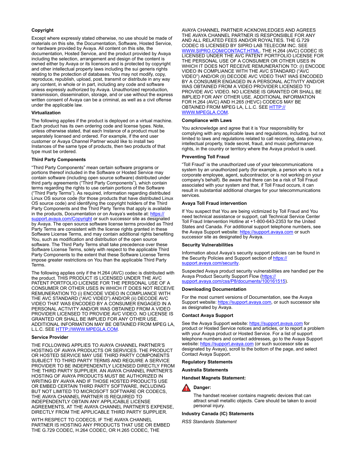#### **Copyright**

Except where expressly stated otherwise, no use should be made of materials on this site, the Documentation, Software, Hosted Service, or hardware provided by Avaya. All content on this site, the documentation, Hosted Service, and the product provided by Avaya including the selection, arrangement and design of the content is owned either by Avaya or its licensors and is protected by copyright and other intellectual property laws including the sui generis rights relating to the protection of databases. You may not modify, copy, reproduce, republish, upload, post, transmit or distribute in any way any content, in whole or in part, including any code and software unless expressly authorized by Avaya. Unauthorized reproduction, transmission, dissemination, storage, and or use without the express written consent of Avaya can be a criminal, as well as a civil offense under the applicable law.

#### **Virtualization**

The following applies if the product is deployed on a virtual machine. Each product has its own ordering code and license types. Note, unless otherwise stated, that each Instance of a product must be separately licensed and ordered. For example, if the end user customer or Avaya Channel Partner would like to install two Instances of the same type of products, then two products of that type must be ordered.

#### **Third Party Components**

"Third Party Components" mean certain software programs or portions thereof included in the Software or Hosted Service may contain software (including open source software) distributed under third party agreements ("Third Party Components"), which contain terms regarding the rights to use certain portions of the Software ("Third Party Terms"). As required, information regarding distributed Linux OS source code (for those products that have distributed Linux OS source code) and identifying the copyright holders of the Third Party Components and the Third Party Terms that apply is available in the products, Documentation or on Avaya's website at: [https://](https://support.avaya.com/Copyright) [support.avaya.com/Copyright](https://support.avaya.com/Copyright) or such successor site as designated by Avaya. The open source software license terms provided as Third Party Terms are consistent with the license rights granted in these Software License Terms, and may contain additional rights benefiting You, such as modification and distribution of the open source software. The Third Party Terms shall take precedence over these Software License Terms, solely with respect to the applicable Third Party Components to the extent that these Software License Terms impose greater restrictions on You than the applicable Third Party Terms.

The following applies only if the H.264 (AVC) codec is distributed with the product. THIS PRODUCT IS LICENSED UNDER THE AVC PATENT PORTFOLIO LICENSE FOR THE PERSONAL USE OF A CONSUMER OR OTHER USES IN WHICH IT DOES NOT RECEIVE REMUNERATION TO (i) ENCODE VIDEO IN COMPLIANCE WITH THE AVC STANDARD ("AVC VIDEO") AND/OR (ii) DECODE AVC VIDEO THAT WAS ENCODED BY A CONSUMER ENGAGED IN A PERSONAL ACTIVITY AND/OR WAS OBTAINED FROM A VIDEO PROVIDER LICENSED TO PROVIDE AVC VIDEO. NO LICENSE IS GRANTED OR SHALL BE IMPLIED FOR ANY OTHER USE. ADDITIONAL INFORMATION MAY BE OBTAINED FROM MPEG LA, L.L.C. SEE <HTTP://WWW.MPEGLA.COM>.

#### **Service Provider**

THE FOLLOWING APPLIES TO AVAYA CHANNEL PARTNER'S HOSTING OF AVAYA PRODUCTS OR SERVICES. THE PRODUCT OR HOSTED SERVICE MAY USE THIRD PARTY COMPONENTS SUBJECT TO THIRD PARTY TERMS AND REQUIRE A SERVICE PROVIDER TO BE INDEPENDENTLY LICENSED DIRECTLY FROM THE THIRD PARTY SUPPLIER. AN AVAYA CHANNEL PARTNER'S HOSTING OF AVAYA PRODUCTS MUST BE AUTHORIZED IN WRITING BY AVAYA AND IF THOSE HOSTED PRODUCTS USE OR EMBED CERTAIN THIRD PARTY SOFTWARE, INCLUDING BUT NOT LIMITED TO MICROSOFT SOFTWARE OR CODECS, THE AVAYA CHANNEL PARTNER IS REQUIRED TO INDEPENDENTLY OBTAIN ANY APPLICABLE LICENSE AGREEMENTS, AT THE AVAYA CHANNEL PARTNER'S EXPENSE, DIRECTLY FROM THE APPLICABLE THIRD PARTY SUPPLIER.

WITH RESPECT TO CODECS, IF THE AVAYA CHANNEL PARTNER IS HOSTING ANY PRODUCTS THAT USE OR EMBED THE G.729 CODEC, H.264 CODEC, OR H.265 CODEC, THE

AVAYA CHANNEL PARTNER ACKNOWLEDGES AND AGREES THE AVAYA CHANNEL PARTNER IS RESPONSIBLE FOR ANY AND ALL RELATED FEES AND/OR ROYALTIES. THE G.729 CODEC IS LICENSED BY SIPRO LAB TELECOM INC. SEE [WWW.SIPRO.COM/CONTACT.HTML.](http://www.sipro.com/contact.html) THE H.264 (AVC) CODEC IS LICENSED UNDER THE AVC PATENT PORTFOLIO LICENSE FOR THE PERSONAL USE OF A CONSUMER OR OTHER USES IN WHICH IT DOES NOT RECEIVE REMUNERATION TO: (I) ENCODE VIDEO IN COMPLIANCE WITH THE AVC STANDARD ("AVC VIDEO") AND/OR (II) DECODE AVC VIDEO THAT WAS ENCODED BY A CONSUMER ENGAGED IN A PERSONAL ACTIVITY AND/OR WAS OBTAINED FROM A VIDEO PROVIDER LICENSED TO PROVIDE AVC VIDEO. NO LICENSE IS GRANTED OR SHALL BE IMPLIED FOR ANY OTHER USE. ADDITIONAL INFORMATION FOR H.264 (AVC) AND H.265 (HEVC) CODECS MAY BE OBTAINED FROM MPEG LA, L.L.C. SEE [HTTP://](HTTP://WWW.MPEGLA.COM) [WWW.MPEGLA.COM.](HTTP://WWW.MPEGLA.COM)

#### **Compliance with Laws**

You acknowledge and agree that it is Your responsibility for complying with any applicable laws and regulations, including, but not limited to laws and regulations related to call recording, data privacy, intellectual property, trade secret, fraud, and music performance rights, in the country or territory where the Avaya product is used.

#### **Preventing Toll Fraud**

"Toll Fraud" is the unauthorized use of your telecommunications system by an unauthorized party (for example, a person who is not a corporate employee, agent, subcontractor, or is not working on your company's behalf). Be aware that there can be a risk of Toll Fraud associated with your system and that, if Toll Fraud occurs, it can result in substantial additional charges for your telecommunications services.

#### **Avaya Toll Fraud intervention**

If You suspect that You are being victimized by Toll Fraud and You need technical assistance or support, call Technical Service Center Toll Fraud Intervention Hotline at +1-800-643-2353 for the United States and Canada. For additional support telephone numbers, see the Avaya Support website:<https://support.avaya.com> or such successor site as designated by Avaya.

#### **Security Vulnerabilities**

Information about Avaya's security support policies can be found in the Security Policies and Support section of [https://](https://support.avaya.com/security) [support.avaya.com/security](https://support.avaya.com/security).

Suspected Avaya product security vulnerabilities are handled per the Avaya Product Security Support Flow [\(https://](https://support.avaya.com/css/P8/documents/100161515) [support.avaya.com/css/P8/documents/100161515](https://support.avaya.com/css/P8/documents/100161515)).

#### **Downloading Documentation**

For the most current versions of Documentation, see the Avaya Support website: <https://support.avaya.com>, or such successor site as designated by Avaya.

#### **Contact Avaya Support**

See the Avaya Support website: <https://support.avaya.com>for product or Hosted Service notices and articles, or to report a problem with your Avaya product or Hosted Service. For a list of support telephone numbers and contact addresses, go to the Avaya Support website: <https://support.avaya.com> (or such successor site as designated by Avaya), scroll to the bottom of the page, and select Contact Avaya Support.

#### **Regulatory Statements**

**Australia Statements**

#### **Handset Magnets Statement:**



The handset receiver contains magnetic devices that can attract small metallic objects. Care should be taken to avoid personal injury.

#### **Industry Canada (IC) Statements**

*RSS Standards Statement*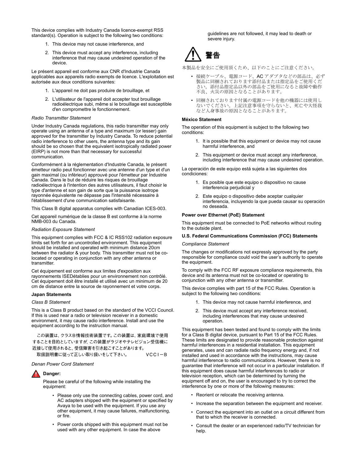This device complies with Industry Canada licence-exempt RSS standard(s). Operation is subject to the following two conditions:

- 1. This device may not cause interference, and
- 2. This device must accept any interference, including interference that may cause undesired operation of the device.

Le présent appareil est conforme aux CNR d'Industrie Canada applicables aux appareils radio exempts de licence. L'exploitation est autorisée aux deux conditions suivantes:

- 1. L'appareil ne doit pas produire de brouillage, et
- 2. L'utilisateur de l'appareil doit accepter tout brouillage radioélectrique subi, même si le brouillage est susceptible d'en compromettre le fonctionnement.

#### *Radio Transmitter Statement*

Under Industry Canada regulations, this radio transmitter may only operate using an antenna of a type and maximum (or lesser) gain approved for the transmitter by Industry Canada. To reduce potential radio interference to other users, the antenna type and its gain should be so chosen that the equivalent isotropically radiated power (EIRP) is not more than that necessary for successful communication.

Conformément à la réglementation d'Industrie Canada, le présent émetteur radio peut fonctionner avec une antenne d'un type et d'un gain maximal (ou inférieur) approuvé pour l'émetteur par Industrie Canada. Dans le but de réduire les risques de brouillage radioélectrique à l'intention des autres utilisateurs, il faut choisir le type d'antenne et son gain de sorte que la puissance isotrope rayonnée équivalente ne dépasse pas l'intensité nécessaire à l'établissement d'une communication satisfaisante.

This Class B digital apparatus complies with Canadian ICES-003.

Cet appareil numérique de la classe B est conforme à la norme NMB-003 du Canada.

#### *Radiation Exposure Statement*

This equipment complies with FCC & IC RSS102 radiation exposure limits set forth for an uncontrolled environment. This equipment should be installed and operated with minimum distance 20cm between the radiator & your body. This transmitter must not be colocated or operating in conjunction with any other antenna or transmitter.

Cet équipement est conforme aux limites d'exposition aux rayonnements ISEDétablies pour un environnement non contrôlé. Cet équipement doit être installé et utilisé avec un minimum de 20 cm de distance entre la source de rayonnement et votre corps.

#### **Japan Statements**

#### *Class B Statement*

This is a Class B product based on the standard of the VCCI Council. If this is used near a radio or television receiver in a domestic environment, it may cause radio interference. Install and use the equipment according to the instruction manual.

この装置は、クラスB情報技術装置です。この装置は、家庭環境で使用 することを目的としていますが、この装置がラジオやテレビジョン受信機に 近接して使用されると、受信障害を引き起こすことがあります。 取扱説明書に従って正しい取り扱いをして下さい。  $VCCI-B$ 

#### *Denan Power Cord Statement*

#### **Danger:**

Please be careful of the following while installing the equipment:

- Please only use the connecting cables, power cord, and AC adapters shipped with the equipment or specified by Avaya to be used with the equipment. If you use any other equipment, it may cause failures, malfunctioning, or fire.
- Power cords shipped with this equipment must not be used with any other equipment. In case the above

guidelines are not followed, it may lead to death or severe injury.



本製品を安全にご使用頂くため、以下のことにご注意ください。

- 接続ケーブル、電源コード、AC アダプタなどの部品は、必ず 製品に同梱されております添付品または指定品をご使用くだ さい。添付品指定品以外の部品をご使用になると故障や動作 不良、火災の原因となることがあります。
- 同梱されております付属の電源コードを他の機器には使用し ないでください。上記注意事項を守らないと、死亡や大怪我 など人身事故の原因となることがあります。

#### **México Statement**

The operation of this equipment is subject to the following two conditions:

- 1. It is possible that this equipment or device may not cause harmful interference, and
- 2. This equipment or device must accept any interference, including interference that may cause undesired operation.

La operación de este equipo está sujeta a las siguientes dos condiciones:

- 1. Es posible que este equipo o dispositivo no cause interferencia perjudicial y
- 2. Este equipo o dispositivo debe aceptar cualquier interferencia, incluyendo la que pueda causar su operación no deseada.

#### **Power over Ethernet (PoE) Statement**

This equipment must be connected to PoE networks without routing to the outside plant.

#### **U.S. Federal Communications Commission (FCC) Statements**

#### *Compliance Statement*

The changes or modifications not expressly approved by the party responsible for compliance could void the user's authority to operate the equipment.

To comply with the FCC RF exposure compliance requirements, this device and its antenna must not be co-located or operating to conjunction with any other antenna or transmitter.

This device complies with part 15 of the FCC Rules. Operation is subject to the following two conditions:

- 1. This device may not cause harmful interference, and
- 2. This device must accept any interference received, including interferences that may cause undesired operation.

This equipment has been tested and found to comply with the limits for a Class B digital device, pursuant to Part 15 of the FCC Rules. These limits are designated to provide reasonable protection against harmful interferences in a residential installation. This equipment generates, uses and can radiate radio frequency energy and, if not installed and used in accordance with the instructions, may cause harmful interference to radio communications. However, there is no guarantee that interference will not occur in a particular installation. If this equipment does cause harmful interferences to radio or television reception, which can be determined by turning the equipment off and on, the user is encouraged to try to correct the interference by one or more of the following measures:

- Reorient or relocate the receiving antenna.
- Increase the separation between the equipment and receiver.
- Connect the equipment into an outlet on a circuit different from that to which the receiver is connected.
- Consult the dealer or an experienced radio/TV technician for help.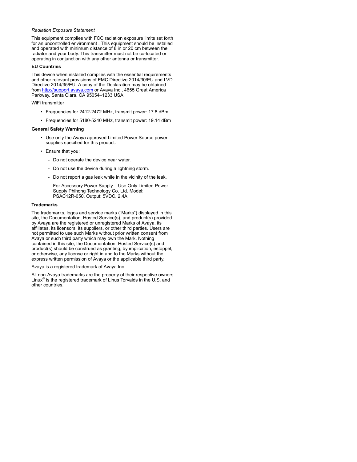#### *Radiation Exposure Statement*

This equipment complies with FCC radiation exposure limits set forth for an uncontrolled environment . This equipment should be installed and operated with minimum distance of 8 in or 20 cm between the radiator and your body. This transmitter must not be co-located or operating in conjunction with any other antenna or transmitter.

#### **EU Countries**

This device when installed complies with the essential requirements and other relevant provisions of EMC Directive 2014/30/EU and LVD Directive 2014/35/EU. A copy of the Declaration may be obtained from [http://support.avaya.com](http://support.avaya.com/) or Avaya Inc., 4655 Great America Parkway, Santa Clara, CA 95054–1233 USA.

WiFi transmitter

- Frequencies for 2412-2472 MHz, transmit power: 17.8 dBm
- Frequencies for 5180-5240 MHz, transmit power: 19.14 dBm

#### **General Safety Warning**

- Use only the Avaya approved Limited Power Source power supplies specified for this product.
- Ensure that you:
	- Do not operate the device near water.
	- Do not use the device during a lightning storm.
	- Do not report a gas leak while in the vicinity of the leak.
	- For Accessory Power Supply Use Only Limited Power Supply Phihong Technology Co. Ltd. Model: PSAC12R-050, Output: 5VDC, 2.4A.

#### **Trademarks**

The trademarks, logos and service marks ("Marks") displayed in this site, the Documentation, Hosted Service(s), and product(s) provided by Avaya are the registered or unregistered Marks of Avaya, its affiliates, its licensors, its suppliers, or other third parties. Users are not permitted to use such Marks without prior written consent from Avaya or such third party which may own the Mark. Nothing contained in this site, the Documentation, Hosted Service(s) and product(s) should be construed as granting, by implication, estoppel, or otherwise, any license or right in and to the Marks without the express written permission of Avaya or the applicable third party.

Avaya is a registered trademark of Avaya Inc.

All non-Avaya trademarks are the property of their respective owners. Linux® is the registered trademark of Linus Torvalds in the U.S. and other countries.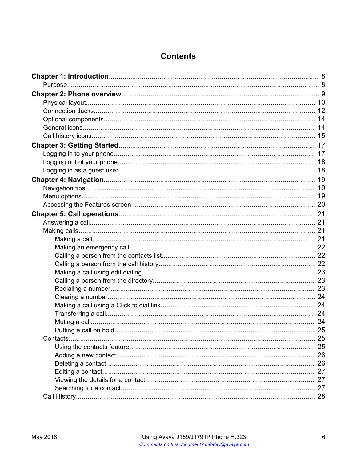# **Contents**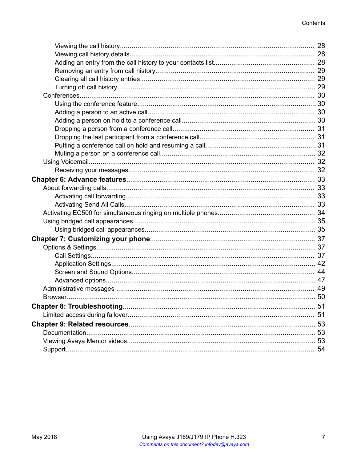|  | 51 |
|--|----|
|  |    |
|  |    |
|  |    |
|  |    |
|  |    |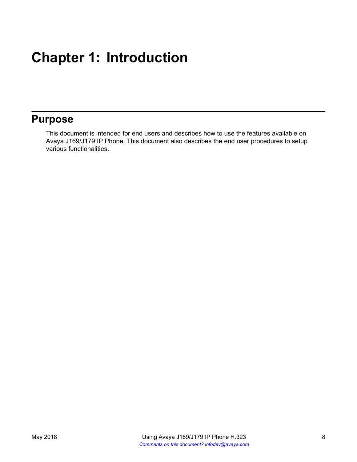# <span id="page-7-0"></span>**Chapter 1: Introduction**

# **Purpose**

This document is intended for end users and describes how to use the features available on Avaya J169/J179 IP Phone. This document also describes the end user procedures to setup various functionalities.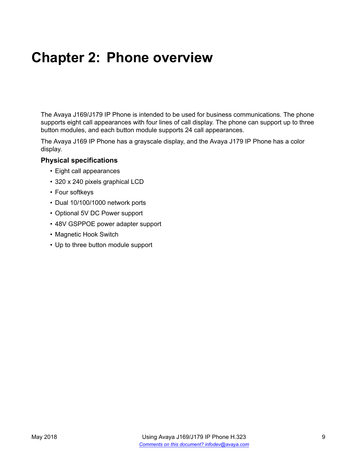# <span id="page-8-0"></span>**Chapter 2: Phone overview**

The Avaya J169/J179 IP Phone is intended to be used for business communications. The phone supports eight call appearances with four lines of call display. The phone can support up to three button modules, and each button module supports 24 call appearances.

The Avaya J169 IP Phone has a grayscale display, and the Avaya J179 IP Phone has a color display.

#### **Physical specifications**

- Eight call appearances
- 320 x 240 pixels graphical LCD
- Four softkeys
- Dual 10/100/1000 network ports
- Optional 5V DC Power support
- 48V GSPPOE power adapter support
- Magnetic Hook Switch
- Up to three button module support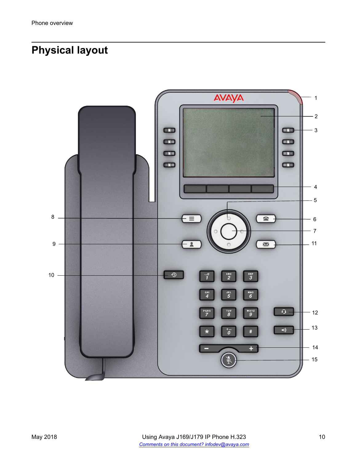# <span id="page-9-0"></span>**Physical layout**

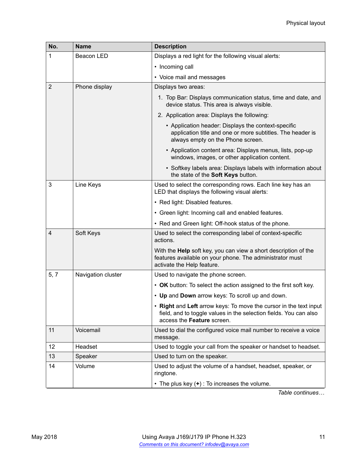| No.            | <b>Name</b>        | <b>Description</b>                                                                                                                                                   |
|----------------|--------------------|----------------------------------------------------------------------------------------------------------------------------------------------------------------------|
| 1              | Beacon LED         | Displays a red light for the following visual alerts:                                                                                                                |
|                |                    | • Incoming call                                                                                                                                                      |
|                |                    | • Voice mail and messages                                                                                                                                            |
| $\overline{2}$ | Phone display      | Displays two areas:                                                                                                                                                  |
|                |                    | 1. Top Bar: Displays communication status, time and date, and<br>device status. This area is always visible.                                                         |
|                |                    | 2. Application area: Displays the following:                                                                                                                         |
|                |                    | • Application header: Displays the context-specific<br>application title and one or more subtitles. The header is<br>always empty on the Phone screen.               |
|                |                    | • Application content area: Displays menus, lists, pop-up<br>windows, images, or other application content.                                                          |
|                |                    | • Softkey labels area: Displays labels with information about<br>the state of the Soft Keys button.                                                                  |
| 3              | Line Keys          | Used to select the corresponding rows. Each line key has an<br>LED that displays the following visual alerts:                                                        |
|                |                    | • Red light: Disabled features.                                                                                                                                      |
|                |                    | • Green light: Incoming call and enabled features.                                                                                                                   |
|                |                    | • Red and Green light: Off-hook status of the phone.                                                                                                                 |
| $\overline{4}$ | Soft Keys          | Used to select the corresponding label of context-specific<br>actions.                                                                                               |
|                |                    | With the Help soft key, you can view a short description of the<br>features available on your phone. The administrator must<br>activate the Help feature.            |
| 5, 7           | Navigation cluster | Used to navigate the phone screen.                                                                                                                                   |
|                |                    | • OK button: To select the action assigned to the first soft key.                                                                                                    |
|                |                    | • Up and Down arrow keys: To scroll up and down.                                                                                                                     |
|                |                    | • Right and Left arrow keys: To move the cursor in the text input<br>field, and to toggle values in the selection fields. You can also<br>access the Feature screen. |
| 11             | Voicemail          | Used to dial the configured voice mail number to receive a voice<br>message.                                                                                         |
| 12             | Headset            | Used to toggle your call from the speaker or handset to headset.                                                                                                     |
| 13             | Speaker            | Used to turn on the speaker.                                                                                                                                         |
| 14             | Volume             | Used to adjust the volume of a handset, headset, speaker, or<br>ringtone.                                                                                            |
|                |                    | • The plus key (+) : To increases the volume.                                                                                                                        |

*Table continues…*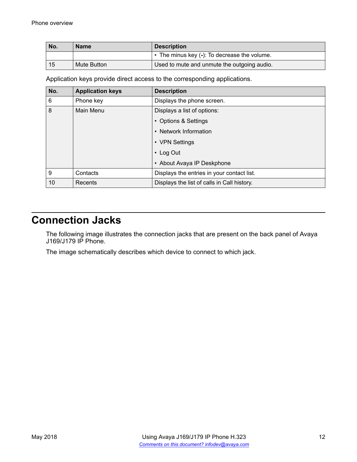<span id="page-11-0"></span>

| No. | <b>Name</b> | <b>Description</b>                           |  |
|-----|-------------|----------------------------------------------|--|
|     |             | • The minus key (-): To decrease the volume. |  |
| -15 | Mute Button | Used to mute and unmute the outgoing audio.  |  |

Application keys provide direct access to the corresponding applications.

| No. | <b>Application keys</b> | <b>Description</b>                          |
|-----|-------------------------|---------------------------------------------|
| 6   | Phone key               | Displays the phone screen.                  |
| 8   | Main Menu               | Displays a list of options:                 |
|     |                         | • Options & Settings                        |
|     |                         | • Network Information                       |
|     |                         | • VPN Settings                              |
|     |                         | • Log Out                                   |
|     |                         | • About Avaya IP Deskphone                  |
| 9   | Contacts                | Displays the entries in your contact list.  |
| 10  | Recents                 | Displays the list of calls in Call history. |

# **Connection Jacks**

The following image illustrates the connection jacks that are present on the back panel of Avaya J169/J179 IP Phone.

The image schematically describes which device to connect to which jack.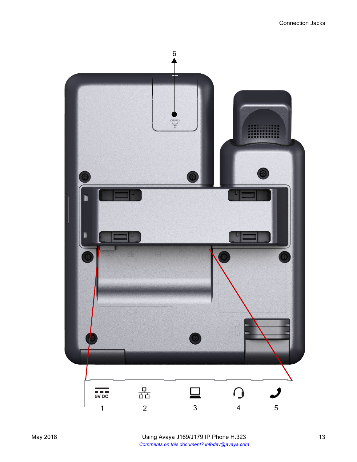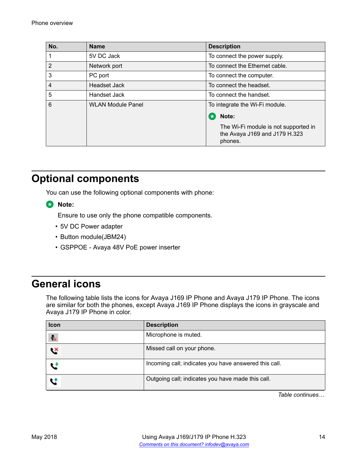<span id="page-13-0"></span>

| No. | <b>Name</b>              | <b>Description</b>                                                               |
|-----|--------------------------|----------------------------------------------------------------------------------|
|     | 5V DC Jack               | To connect the power supply.                                                     |
| 2   | Network port             | To connect the Ethernet cable.                                                   |
| 3   | PC port                  | To connect the computer.                                                         |
| 4   | <b>Headset Jack</b>      | To connect the headset.                                                          |
| 5   | Handset Jack             | To connect the handset.                                                          |
| 6   | <b>WLAN Module Panel</b> | To integrate the Wi-Fi module.                                                   |
|     |                          | Note:<br>$\left  \mathbf{x} \right $                                             |
|     |                          | The Wi-Fi module is not supported in<br>the Avaya J169 and J179 H.323<br>phones. |

# **Optional components**

You can use the following optional components with phone:

**Note:**

Ensure to use only the phone compatible components.

- 5V DC Power adapter
- Button module(JBM24)
- GSPPOE Avaya 48V PoE power inserter

# **General icons**

The following table lists the icons for Avaya J169 IP Phone and Avaya J179 IP Phone. The icons are similar for both the phones, except Avaya J169 IP Phone displays the icons in grayscale and Avaya J179 IP Phone in color.

| Icon                      | <b>Description</b>                                    |
|---------------------------|-------------------------------------------------------|
| $\mathbf{e}_{\mathbf{x}}$ | Microphone is muted.                                  |
| œ                         | Missed call on your phone.                            |
|                           | Incoming call; indicates you have answered this call. |
|                           | Outgoing call; indicates you have made this call.     |

*Table continues…*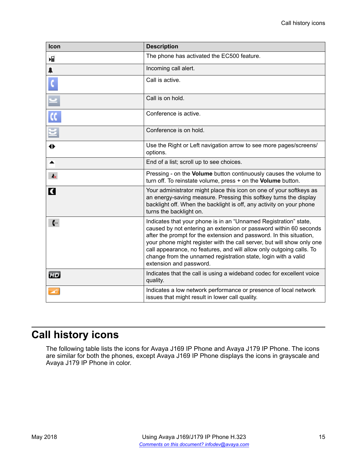<span id="page-14-0"></span>

| Icon               | <b>Description</b>                                                                                                                                                                                                                                                                                                                                                                                                                                          |
|--------------------|-------------------------------------------------------------------------------------------------------------------------------------------------------------------------------------------------------------------------------------------------------------------------------------------------------------------------------------------------------------------------------------------------------------------------------------------------------------|
| 嗢                  | The phone has activated the EC500 feature.                                                                                                                                                                                                                                                                                                                                                                                                                  |
| A                  | Incoming call alert.                                                                                                                                                                                                                                                                                                                                                                                                                                        |
|                    | Call is active.                                                                                                                                                                                                                                                                                                                                                                                                                                             |
|                    | Call is on hold.                                                                                                                                                                                                                                                                                                                                                                                                                                            |
| $\frac{1}{\alpha}$ | Conference is active.                                                                                                                                                                                                                                                                                                                                                                                                                                       |
| $\Xi$              | Conference is on hold.                                                                                                                                                                                                                                                                                                                                                                                                                                      |
|                    | Use the Right or Left navigation arrow to see more pages/screens/<br>options.                                                                                                                                                                                                                                                                                                                                                                               |
|                    | End of a list; scroll up to see choices.                                                                                                                                                                                                                                                                                                                                                                                                                    |
| $I_{\rm X}$        | Pressing - on the Volume button continuously causes the volume to<br>turn off. To reinstate volume, press + on the Volume button.                                                                                                                                                                                                                                                                                                                           |
| C                  | Your administrator might place this icon on one of your softkeys as<br>an energy-saving measure. Pressing this softkey turns the display<br>backlight off. When the backlight is off, any activity on your phone<br>turns the backlight on.                                                                                                                                                                                                                 |
| $\mathfrak{c}$     | Indicates that your phone is in an "Unnamed Registration" state,<br>caused by not entering an extension or password within 60 seconds<br>after the prompt for the extension and password. In this situation,<br>your phone might register with the call server, but will show only one<br>call appearance, no features, and will allow only outgoing calls. To<br>change from the unnamed registration state, login with a valid<br>extension and password. |
| H                  | Indicates that the call is using a wideband codec for excellent voice<br>quality.                                                                                                                                                                                                                                                                                                                                                                           |
| ⊿                  | Indicates a low network performance or presence of local network<br>issues that might result in lower call quality.                                                                                                                                                                                                                                                                                                                                         |

# **Call history icons**

The following table lists the icons for Avaya J169 IP Phone and Avaya J179 IP Phone. The icons are similar for both the phones, except Avaya J169 IP Phone displays the icons in grayscale and Avaya J179 IP Phone in color.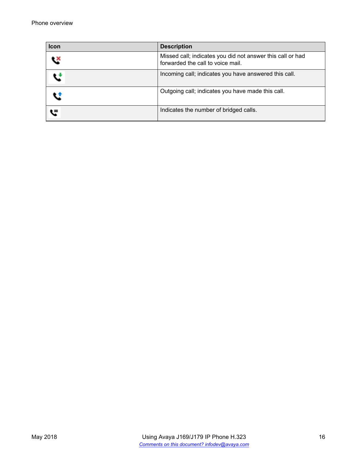| <b>Icon</b> | <b>Description</b>                                                                              |
|-------------|-------------------------------------------------------------------------------------------------|
|             | Missed call; indicates you did not answer this call or had<br>forwarded the call to voice mail. |
|             | Incoming call; indicates you have answered this call.                                           |
|             | Outgoing call; indicates you have made this call.                                               |
|             | Indicates the number of bridged calls.                                                          |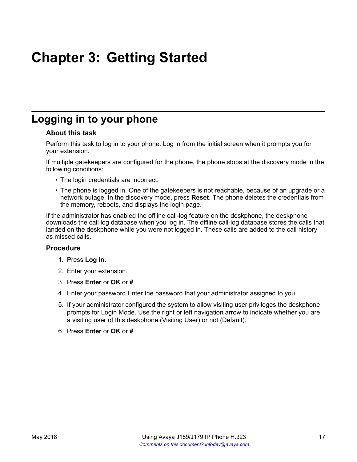# <span id="page-16-0"></span>**Chapter 3: Getting Started**

# **Logging in to your phone**

#### **About this task**

Perform this task to log in to your phone. Log in from the initial screen when it prompts you for your extension.

If multiple gatekeepers are configured for the phone, the phone stops at the discovery mode in the following conditions:

- The login credentials are incorrect.
- The phone is logged in. One of the gatekeepers is not reachable, because of an upgrade or a network outage. In the discovery mode, press **Reset**. The phone deletes the credentials from the memory, reboots, and displays the login page.

If the administrator has enabled the offline call-log feature on the deskphone, the deskphone downloads the call log database when you log in. The offline call-log database stores the calls that landed on the deskphone while you were not logged in. These calls are added to the call history as missed calls.

- 1. Press **Log In**.
- 2. Enter your extension.
- 3. Press **Enter** or **OK** or **#**.
- 4. Enter your password.Enter the password that your administrator assigned to you.
- 5. If your administrator configured the system to allow visiting user privileges the deskphone prompts for Login Mode. Use the right or left navigation arrow to indicate whether you are a visiting user of this deskphone (Visiting User) or not (Default).
- 6. Press **Enter** or **OK** or **#**.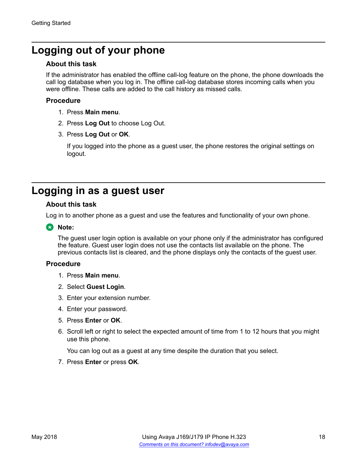# <span id="page-17-0"></span>**Logging out of your phone**

#### **About this task**

If the administrator has enabled the offline call-log feature on the phone, the phone downloads the call log database when you log in. The offline call-log database stores incoming calls when you were offline. These calls are added to the call history as missed calls.

#### **Procedure**

- 1. Press **Main menu**.
- 2. Press **Log Out** to choose Log Out.
- 3. Press **Log Out** or **OK**.

If you logged into the phone as a guest user, the phone restores the original settings on logout.

# **Logging in as a guest user**

#### **About this task**

Log in to another phone as a guest and use the features and functionality of your own phone.

#### **B** Note:

The guest user login option is available on your phone only if the administrator has configured the feature. Guest user login does not use the contacts list available on the phone. The previous contacts list is cleared, and the phone displays only the contacts of the guest user.

#### **Procedure**

- 1. Press **Main menu**.
- 2. Select **Guest Login**.
- 3. Enter your extension number.
- 4. Enter your password.
- 5. Press **Enter** or **OK**.
- 6. Scroll left or right to select the expected amount of time from 1 to 12 hours that you might use this phone.

You can log out as a guest at any time despite the duration that you select.

7. Press **Enter** or press **OK**.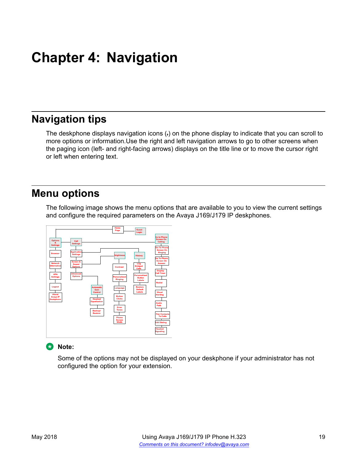# <span id="page-18-0"></span>**Chapter 4: Navigation**

# **Navigation tips**

The deskphone displays navigation icons  $\left(\cdot\right)$  on the phone display to indicate that you can scroll to more options or information.Use the right and left navigation arrows to go to other screens when the paging icon (left- and right-facing arrows) displays on the title line or to move the cursor right or left when entering text.

# **Menu options**

The following image shows the menu options that are available to you to view the current settings and configure the required parameters on the Avaya J169/J179 IP deskphones.



#### **RS** Note:

Some of the options may not be displayed on your deskphone if your administrator has not configured the option for your extension.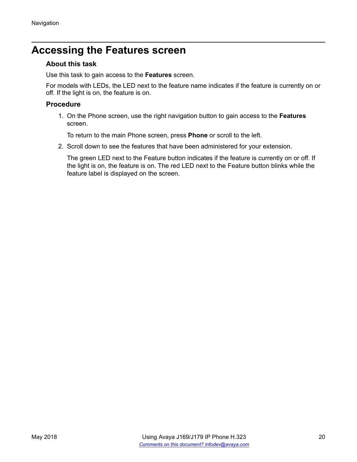# <span id="page-19-0"></span>**Accessing the Features screen**

#### **About this task**

Use this task to gain access to the **Features** screen.

For models with LEDs, the LED next to the feature name indicates if the feature is currently on or off. If the light is on, the feature is on.

#### **Procedure**

1. On the Phone screen, use the right navigation button to gain access to the **Features** screen.

To return to the main Phone screen, press **Phone** or scroll to the left.

2. Scroll down to see the features that have been administered for your extension.

The green LED next to the Feature button indicates if the feature is currently on or off. If the light is on, the feature is on. The red LED next to the Feature button blinks while the feature label is displayed on the screen.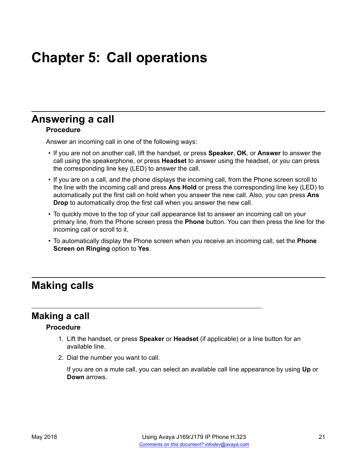# <span id="page-20-0"></span>**Chapter 5: Call operations**

### **Answering a call Procedure**

Answer an incoming call in one of the following ways:

- If you are not on another call, lift the handset, or press **Speaker**, **OK**, or **Answer** to answer the call using the speakerphone, or press **Headset** to answer using the headset, or you can press the corresponding line key (LED) to answer the call.
- If you are on a call, and the phone displays the incoming call, from the Phone screen scroll to the line with the incoming call and press **Ans Hold** or press the corresponding line key (LED) to automatically put the first call on hold when you answer the new call. Also, you can press **Ans Drop** to automatically drop the first call when you answer the new call.
- To quickly move to the top of your call appearance list to answer an incoming call on your primary line, from the Phone screen press the **Phone** button. You can then press the line for the incoming call or scroll to it.
- To automatically display the Phone screen when you receive an incoming call, set the **Phone Screen on Ringing** option to **Yes**.

# **Making calls**

# **Making a call**

#### **Procedure**

- 1. Lift the handset, or press **Speaker** or **Headset** (if applicable) or a line button for an available line.
- 2. Dial the number you want to call.

If you are on a mute call, you can select an available call line appearance by using **Up** or **Down** arrows.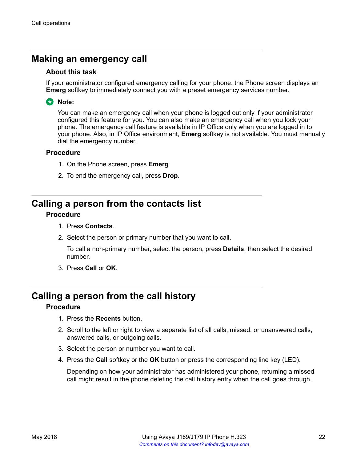# <span id="page-21-0"></span>**Making an emergency call**

#### **About this task**

If your administrator configured emergency calling for your phone, the Phone screen displays an **Emerg** softkey to immediately connect you with a preset emergency services number.

#### **RNote:**

You can make an emergency call when your phone is logged out only if your administrator configured this feature for you. You can also make an emergency call when you lock your phone. The emergency call feature is available in IP Office only when you are logged in to your phone. Also, in IP Office environment, **Emerg** softkey is not available. You must manually dial the emergency number.

#### **Procedure**

- 1. On the Phone screen, press **Emerg**.
- 2. To end the emergency call, press **Drop**.

## **Calling a person from the contacts list**

#### **Procedure**

- 1. Press **Contacts**.
- 2. Select the person or primary number that you want to call.

To call a non-primary number, select the person, press **Details**, then select the desired number.

3. Press **Call** or **OK**.

## **Calling a person from the call history**

#### **Procedure**

- 1. Press the **Recents** button.
- 2. Scroll to the left or right to view a separate list of all calls, missed, or unanswered calls, answered calls, or outgoing calls.
- 3. Select the person or number you want to call.
- 4. Press the **Call** softkey or the **OK** button or press the corresponding line key (LED).

Depending on how your administrator has administered your phone, returning a missed call might result in the phone deleting the call history entry when the call goes through.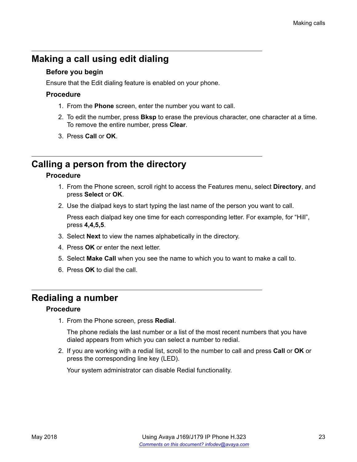# <span id="page-22-0"></span>**Making a call using edit dialing**

#### **Before you begin**

Ensure that the Edit dialing feature is enabled on your phone.

#### **Procedure**

- 1. From the **Phone** screen, enter the number you want to call.
- 2. To edit the number, press **Bksp** to erase the previous character, one character at a time. To remove the entire number, press **Clear**.
- 3. Press **Call** or **OK**.

# **Calling a person from the directory**

#### **Procedure**

- 1. From the Phone screen, scroll right to access the Features menu, select **Directory**, and press **Select** or **OK**.
- 2. Use the dialpad keys to start typing the last name of the person you want to call.

Press each dialpad key one time for each corresponding letter. For example, for "Hill", press **4,4,5,5**.

- 3. Select **Next** to view the names alphabetically in the directory.
- 4. Press **OK** or enter the next letter.
- 5. Select **Make Call** when you see the name to which you to want to make a call to.
- 6. Press **OK** to dial the call.

# **Redialing a number**

#### **Procedure**

1. From the Phone screen, press **Redial**.

The phone redials the last number or a list of the most recent numbers that you have dialed appears from which you can select a number to redial.

2. If you are working with a redial list, scroll to the number to call and press **Call** or **OK** or press the corresponding line key (LED).

Your system administrator can disable Redial functionality.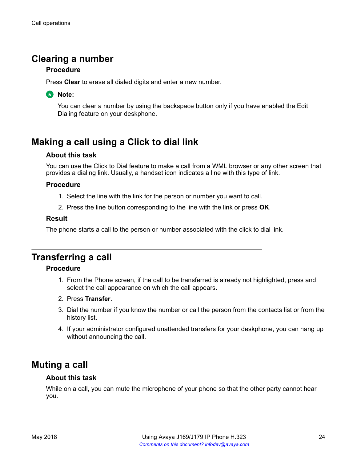## <span id="page-23-0"></span>**Clearing a number**

#### **Procedure**

Press **Clear** to erase all dialed digits and enter a new number.

#### **R3** Note:

You can clear a number by using the backspace button only if you have enabled the Edit Dialing feature on your deskphone.

# **Making a call using a Click to dial link**

#### **About this task**

You can use the Click to Dial feature to make a call from a WML browser or any other screen that provides a dialing link. Usually, a handset icon indicates a line with this type of link.

#### **Procedure**

- 1. Select the line with the link for the person or number you want to call.
- 2. Press the line button corresponding to the line with the link or press **OK**.

#### **Result**

The phone starts a call to the person or number associated with the click to dial link.

# **Transferring a call**

#### **Procedure**

- 1. From the Phone screen, if the call to be transferred is already not highlighted, press and select the call appearance on which the call appears.
- 2. Press **Transfer**.
- 3. Dial the number if you know the number or call the person from the contacts list or from the history list.
- 4. If your administrator configured unattended transfers for your deskphone, you can hang up without announcing the call.

# **Muting a call**

#### **About this task**

While on a call, you can mute the microphone of your phone so that the other party cannot hear you.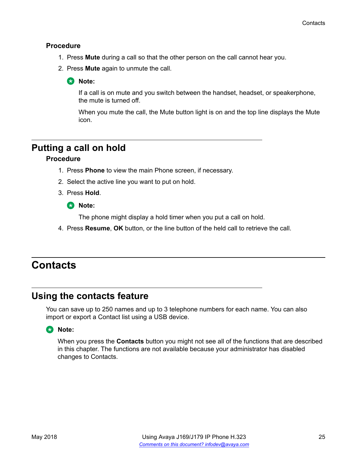#### <span id="page-24-0"></span>**Procedure**

- 1. Press **Mute** during a call so that the other person on the call cannot hear you.
- 2. Press **Mute** again to unmute the call.
	- **B** Note:

If a call is on mute and you switch between the handset, headset, or speakerphone, the mute is turned off.

When you mute the call, the Mute button light is on and the top line displays the Mute icon.

# **Putting a call on hold**

#### **Procedure**

- 1. Press **Phone** to view the main Phone screen, if necessary.
- 2. Select the active line you want to put on hold.
- 3. Press **Hold**.

**B** Note:

The phone might display a hold timer when you put a call on hold.

4. Press **Resume**, **OK** button, or the line button of the held call to retrieve the call.

# **Contacts**

# **Using the contacts feature**

You can save up to 250 names and up to 3 telephone numbers for each name. You can also import or export a Contact list using a USB device.

## **ED** Note:

When you press the **Contacts** button you might not see all of the functions that are described in this chapter. The functions are not available because your administrator has disabled changes to Contacts.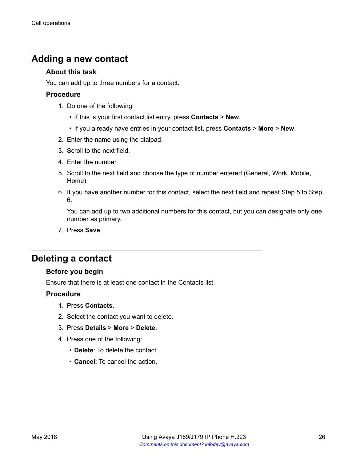## <span id="page-25-0"></span>**Adding a new contact**

#### **About this task**

You can add up to three numbers for a contact.

#### **Procedure**

- 1. Do one of the following:
	- If this is your first contact list entry, press **Contacts** > **New**.
	- If you already have entries in your contact list, press **Contacts** > **More** > **New**.
- 2. Enter the name using the dialpad.
- 3. Scroll to the next field.
- 4. Enter the number.
- 5. Scroll to the next field and choose the type of number entered (General, Work, Mobile, Home)
- 6. If you have another number for this contact, select the next field and repeat Step 5 to Step 6.

You can add up to two additional numbers for this contact, but you can designate only one number as primary.

7. Press **Save**.

# **Deleting a contact**

#### **Before you begin**

Ensure that there is at least one contact in the Contacts list.

- 1. Press **Contacts**.
- 2. Select the contact you want to delete.
- 3. Press **Details** > **More** > **Delete**.
- 4. Press one of the following:
	- **Delete**: To delete the contact.
	- **Cancel**: To cancel the action.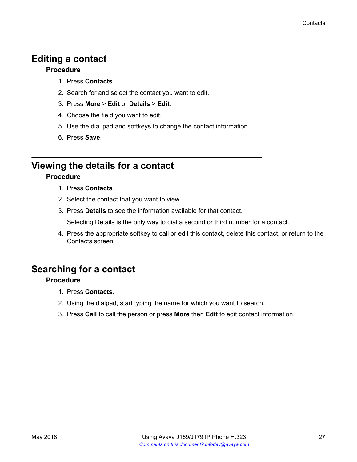# <span id="page-26-0"></span>**Editing a contact**

#### **Procedure**

- 1. Press **Contacts**.
- 2. Search for and select the contact you want to edit.
- 3. Press **More** > **Edit** or **Details** > **Edit**.
- 4. Choose the field you want to edit.
- 5. Use the dial pad and softkeys to change the contact information.
- 6. Press **Save**.

# **Viewing the details for a contact**

#### **Procedure**

- 1. Press **Contacts**.
- 2. Select the contact that you want to view.
- 3. Press **Details** to see the information available for that contact.

Selecting Details is the only way to dial a second or third number for a contact.

4. Press the appropriate softkey to call or edit this contact, delete this contact, or return to the Contacts screen.

# **Searching for a contact**

- 1. Press **Contacts**.
- 2. Using the dialpad, start typing the name for which you want to search.
- 3. Press **Call** to call the person or press **More** then **Edit** to edit contact information.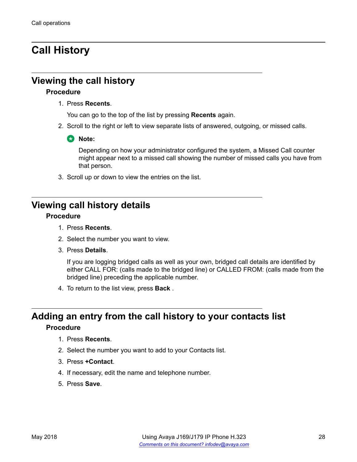# <span id="page-27-0"></span>**Call History**

# **Viewing the call history**

#### **Procedure**

1. Press **Recents**.

You can go to the top of the list by pressing **Recents** again.

2. Scroll to the right or left to view separate lists of answered, outgoing, or missed calls.

#### **ED** Note:

Depending on how your administrator configured the system, a Missed Call counter might appear next to a missed call showing the number of missed calls you have from that person.

3. Scroll up or down to view the entries on the list.

# **Viewing call history details**

#### **Procedure**

- 1. Press **Recents**.
- 2. Select the number you want to view.
- 3. Press **Details**.

If you are logging bridged calls as well as your own, bridged call details are identified by either CALL FOR: (calls made to the bridged line) or CALLED FROM: (calls made from the bridged line) preceding the applicable number.

4. To return to the list view, press **Back** .

# **Adding an entry from the call history to your contacts list Procedure**

- 1. Press **Recents**.
- 2. Select the number you want to add to your Contacts list.
- 3. Press **+Contact**.
- 4. If necessary, edit the name and telephone number.
- 5. Press **Save**.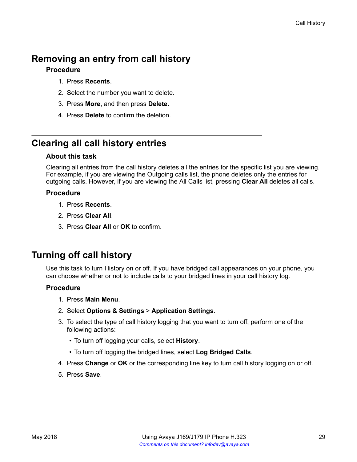# <span id="page-28-0"></span>**Removing an entry from call history**

#### **Procedure**

- 1. Press **Recents**.
- 2. Select the number you want to delete.
- 3. Press **More**, and then press **Delete**.
- 4. Press **Delete** to confirm the deletion.

# **Clearing all call history entries**

#### **About this task**

Clearing all entries from the call history deletes all the entries for the specific list you are viewing. For example, if you are viewing the Outgoing calls list, the phone deletes only the entries for outgoing calls. However, if you are viewing the All Calls list, pressing **Clear All** deletes all calls.

#### **Procedure**

- 1. Press **Recents**.
- 2. Press **Clear All**.
- 3. Press **Clear All** or **OK** to confirm.

# **Turning off call history**

Use this task to turn History on or off. If you have bridged call appearances on your phone, you can choose whether or not to include calls to your bridged lines in your call history log.

- 1. Press **Main Menu**.
- 2. Select **Options & Settings** > **Application Settings**.
- 3. To select the type of call history logging that you want to turn off, perform one of the following actions:
	- To turn off logging your calls, select **History**.
	- To turn off logging the bridged lines, select **Log Bridged Calls**.
- 4. Press **Change** or **OK** or the corresponding line key to turn call history logging on or off.
- 5. Press **Save**.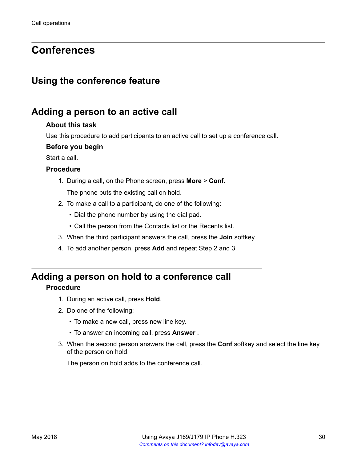# <span id="page-29-0"></span>**Conferences**

# **Using the conference feature**

## **Adding a person to an active call**

#### **About this task**

Use this procedure to add participants to an active call to set up a conference call.

#### **Before you begin**

Start a call.

#### **Procedure**

- 1. During a call, on the Phone screen, press **More** > **Conf**. The phone puts the existing call on hold.
- 2. To make a call to a participant, do one of the following:
	- Dial the phone number by using the dial pad.
	- Call the person from the Contacts list or the Recents list.
- 3. When the third participant answers the call, press the **Join** softkey.
- 4. To add another person, press **Add** and repeat Step 2 and 3.

# **Adding a person on hold to a conference call**

#### **Procedure**

- 1. During an active call, press **Hold**.
- 2. Do one of the following:
	- To make a new call, press new line key.
	- To answer an incoming call, press **Answer** .
- 3. When the second person answers the call, press the **Conf** softkey and select the line key of the person on hold.

The person on hold adds to the conference call.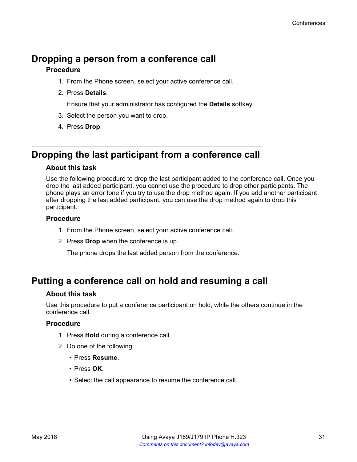# <span id="page-30-0"></span>**Dropping a person from a conference call**

#### **Procedure**

- 1. From the Phone screen, select your active conference call.
- 2. Press **Details**.

Ensure that your administrator has configured the **Details** softkey.

- 3. Select the person you want to drop.
- 4. Press **Drop**.

# **Dropping the last participant from a conference call**

#### **About this task**

Use the following procedure to drop the last participant added to the conference call. Once you drop the last added participant, you cannot use the procedure to drop other participants. The phone plays an error tone if you try to use the drop method again. If you add another participant after dropping the last added participant, you can use the drop method again to drop this participant.

#### **Procedure**

- 1. From the Phone screen, select your active conference call.
- 2. Press **Drop** when the conference is up.

The phone drops the last added person from the conference.

# **Putting a conference call on hold and resuming a call**

#### **About this task**

Use this procedure to put a conference participant on hold, while the others continue in the conference call.

- 1. Press **Hold** during a conference call.
- 2. Do one of the following:
	- Press **Resume**.
	- Press **OK**.
	- Select the call appearance to resume the conference call.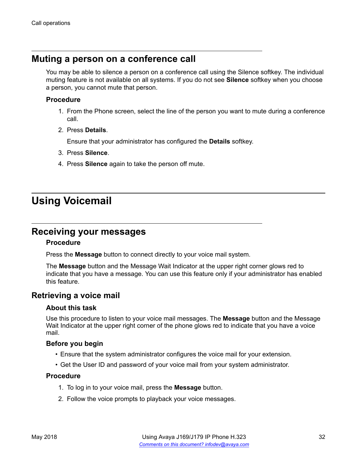## <span id="page-31-0"></span>**Muting a person on a conference call**

You may be able to silence a person on a conference call using the Silence softkey. The individual muting feature is not available on all systems. If you do not see **Silence** softkey when you choose a person, you cannot mute that person.

#### **Procedure**

- 1. From the Phone screen, select the line of the person you want to mute during a conference call.
- 2. Press **Details**.

Ensure that your administrator has configured the **Details** softkey.

- 3. Press **Silence**.
- 4. Press **Silence** again to take the person off mute.

# **Using Voicemail**

## **Receiving your messages**

#### **Procedure**

Press the **Message** button to connect directly to your voice mail system.

The **Message** button and the Message Wait Indicator at the upper right corner glows red to indicate that you have a message. You can use this feature only if your administrator has enabled this feature.

### **Retrieving a voice mail**

#### **About this task**

Use this procedure to listen to your voice mail messages. The **Message** button and the Message Wait Indicator at the upper right corner of the phone glows red to indicate that you have a voice mail.

#### **Before you begin**

- Ensure that the system administrator configures the voice mail for your extension.
- Get the User ID and password of your voice mail from your system administrator.

- 1. To log in to your voice mail, press the **Message** button.
- 2. Follow the voice prompts to playback your voice messages.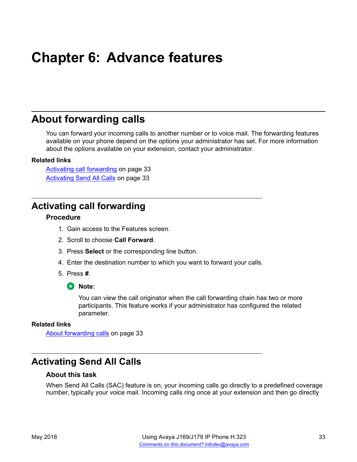# <span id="page-32-0"></span>**Chapter 6: Advance features**

# **About forwarding calls**

You can forward your incoming calls to another number or to voice mail. The forwarding features available on your phone depend on the options your administrator has set. For more information about the options available on your extension, contact your administrator.

#### **Related links**

Activating call forwarding on page 33 Activating Send All Calls on page 33

# **Activating call forwarding**

#### **Procedure**

- 1. Gain access to the Features screen.
- 2. Scroll to choose **Call Forward**.
- 3. Press **Select** or the corresponding line button.
- 4. Enter the destination number to which you want to forward your calls.
- 5. Press **#**.

#### **B** Note:

You can view the call originator when the call forwarding chain has two or more participants. This feature works if your administrator has configured the related parameter.

#### **Related links**

About forwarding calls on page 33

## **Activating Send All Calls**

#### **About this task**

When Send All Calls (SAC) feature is on, your incoming calls go directly to a predefined coverage number, typically your voice mail. Incoming calls ring once at your extension and then go directly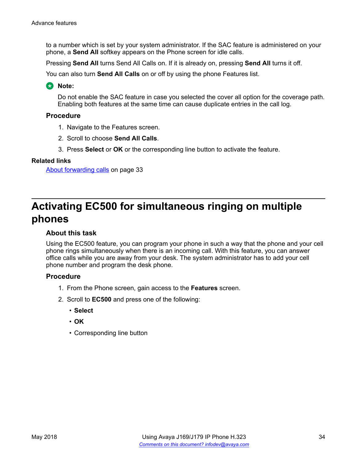<span id="page-33-0"></span>to a number which is set by your system administrator. If the SAC feature is administered on your phone, a **Send All** softkey appears on the Phone screen for idle calls.

Pressing **Send All** turns Send All Calls on. If it is already on, pressing **Send All** turns it off.

You can also turn **Send All Calls** on or off by using the phone Features list.

#### **B** Note:

Do not enable the SAC feature in case you selected the cover all option for the coverage path. Enabling both features at the same time can cause duplicate entries in the call log.

#### **Procedure**

- 1. Navigate to the Features screen.
- 2. Scroll to choose **Send All Calls**.
- 3. Press **Select** or **OK** or the corresponding line button to activate the feature.

#### **Related links**

[About forwarding calls](#page-32-0) on page 33

# **Activating EC500 for simultaneous ringing on multiple phones**

#### **About this task**

Using the EC500 feature, you can program your phone in such a way that the phone and your cell phone rings simultaneously when there is an incoming call. With this feature, you can answer office calls while you are away from your desk. The system administrator has to add your cell phone number and program the desk phone.

- 1. From the Phone screen, gain access to the **Features** screen.
- 2. Scroll to **EC500** and press one of the following:
	- **Select**
	- **OK**
	- Corresponding line button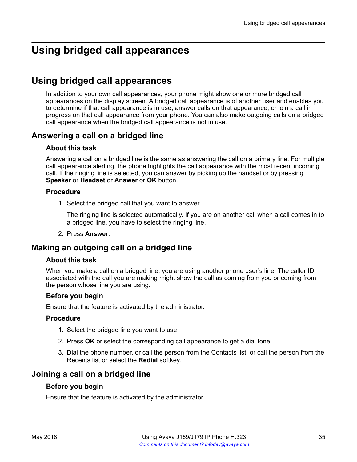# <span id="page-34-0"></span>**Using bridged call appearances**

# **Using bridged call appearances**

In addition to your own call appearances, your phone might show one or more bridged call appearances on the display screen. A bridged call appearance is of another user and enables you to determine if that call appearance is in use, answer calls on that appearance, or join a call in progress on that call appearance from your phone. You can also make outgoing calls on a bridged call appearance when the bridged call appearance is not in use.

## **Answering a call on a bridged line**

#### **About this task**

Answering a call on a bridged line is the same as answering the call on a primary line. For multiple call appearance alerting, the phone highlights the call appearance with the most recent incoming call. If the ringing line is selected, you can answer by picking up the handset or by pressing **Speaker** or **Headset** or **Answer** or **OK** button.

#### **Procedure**

1. Select the bridged call that you want to answer.

The ringing line is selected automatically. If you are on another call when a call comes in to a bridged line, you have to select the ringing line.

#### 2. Press **Answer**.

## **Making an outgoing call on a bridged line**

#### **About this task**

When you make a call on a bridged line, you are using another phone user's line. The caller ID associated with the call you are making might show the call as coming from you or coming from the person whose line you are using.

#### **Before you begin**

Ensure that the feature is activated by the administrator.

#### **Procedure**

- 1. Select the bridged line you want to use.
- 2. Press **OK** or select the corresponding call appearance to get a dial tone.
- 3. Dial the phone number, or call the person from the Contacts list, or call the person from the Recents list or select the **Redial** softkey.

## **Joining a call on a bridged line**

#### **Before you begin**

Ensure that the feature is activated by the administrator.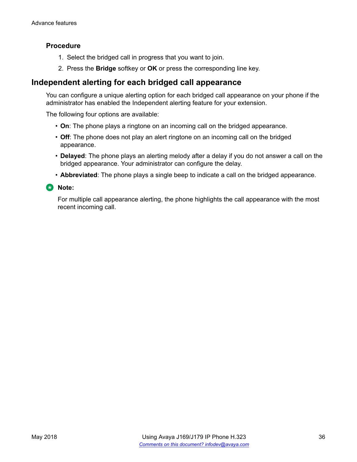#### **Procedure**

- 1. Select the bridged call in progress that you want to join.
- 2. Press the **Bridge** softkey or **OK** or press the corresponding line key.

## **Independent alerting for each bridged call appearance**

You can configure a unique alerting option for each bridged call appearance on your phone if the administrator has enabled the Independent alerting feature for your extension.

The following four options are available:

- **On**: The phone plays a ringtone on an incoming call on the bridged appearance.
- **Off**: The phone does not play an alert ringtone on an incoming call on the bridged appearance.
- **Delayed**: The phone plays an alerting melody after a delay if you do not answer a call on the bridged appearance. Your administrator can configure the delay.
- **Abbreviated**: The phone plays a single beep to indicate a call on the bridged appearance.

**B** Note:

For multiple call appearance alerting, the phone highlights the call appearance with the most recent incoming call.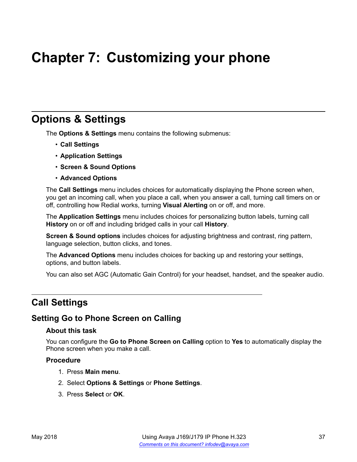# <span id="page-36-0"></span>**Chapter 7: Customizing your phone**

# **Options & Settings**

The **Options & Settings** menu contains the following submenus:

- **Call Settings**
- **Application Settings**
- **Screen & Sound Options**
- **Advanced Options**

The **Call Settings** menu includes choices for automatically displaying the Phone screen when, you get an incoming call, when you place a call, when you answer a call, turning call timers on or off, controlling how Redial works, turning **Visual Alerting** on or off, and more.

The **Application Settings** menu includes choices for personalizing button labels, turning call **History** on or off and including bridged calls in your call **History**.

**Screen & Sound options** includes choices for adjusting brightness and contrast, ring pattern, language selection, button clicks, and tones.

The **Advanced Options** menu includes choices for backing up and restoring your settings, options, and button labels.

You can also set AGC (Automatic Gain Control) for your headset, handset, and the speaker audio.

# **Call Settings**

## **Setting Go to Phone Screen on Calling**

#### **About this task**

You can configure the **Go to Phone Screen on Calling** option to **Yes** to automatically display the Phone screen when you make a call.

- 1. Press **Main menu**.
- 2. Select **Options & Settings** or **Phone Settings**.
- 3. Press **Select** or **OK**.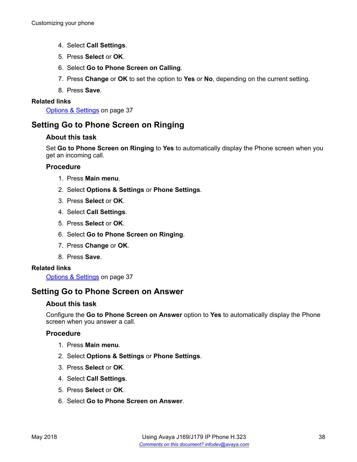- <span id="page-37-0"></span>4. Select **Call Settings**.
- 5. Press **Select** or **OK**.
- 6. Select **Go to Phone Screen on Calling**.
- 7. Press **Change** or **OK** to set the option to **Yes** or **No**, depending on the current setting.
- 8. Press **Save**.

#### **Related links**

[Options & Settings](#page-36-0) on page 37

## **Setting Go to Phone Screen on Ringing**

#### **About this task**

Set **Go to Phone Screen on Ringing** to **Yes** to automatically display the Phone screen when you get an incoming call.

#### **Procedure**

- 1. Press **Main menu**.
- 2. Select **Options & Settings** or **Phone Settings**.
- 3. Press **Select** or **OK**.
- 4. Select **Call Settings**.
- 5. Press **Select** or **OK**.
- 6. Select **Go to Phone Screen on Ringing**.
- 7. Press **Change** or **OK**.
- 8. Press **Save**.

#### **Related links**

[Options & Settings](#page-36-0) on page 37

## **Setting Go to Phone Screen on Answer**

#### **About this task**

Configure the **Go to Phone Screen on Answer** option to **Yes** to automatically display the Phone screen when you answer a call.

- 1. Press **Main menu**.
- 2. Select **Options & Settings** or **Phone Settings**.
- 3. Press **Select** or **OK**.
- 4. Select **Call Settings**.
- 5. Press **Select** or **OK**.
- 6. Select **Go to Phone Screen on Answer**.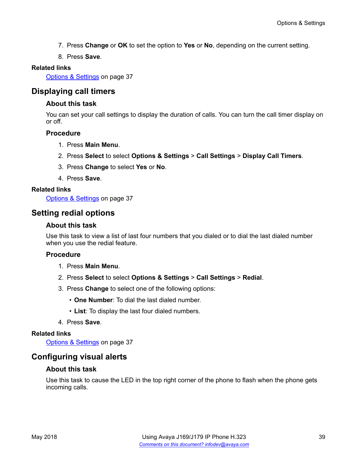- <span id="page-38-0"></span>7. Press **Change** or **OK** to set the option to **Yes** or **No**, depending on the current setting.
- 8. Press **Save**.

#### **Related links**

[Options & Settings](#page-36-0) on page 37

### **Displaying call timers**

#### **About this task**

You can set your call settings to display the duration of calls. You can turn the call timer display on or off.

#### **Procedure**

- 1. Press **Main Menu**.
- 2. Press **Select** to select **Options & Settings** > **Call Settings** > **Display Call Timers**.
- 3. Press **Change** to select **Yes** or **No**.
- 4. Press **Save**.

#### **Related links**

[Options & Settings](#page-36-0) on page 37

### **Setting redial options**

#### **About this task**

Use this task to view a list of last four numbers that you dialed or to dial the last dialed number when you use the redial feature.

#### **Procedure**

- 1. Press **Main Menu**.
- 2. Press **Select** to select **Options & Settings** > **Call Settings** > **Redial**.
- 3. Press **Change** to select one of the following options:
	- **One Number**: To dial the last dialed number.
	- **List**: To display the last four dialed numbers.
- 4. Press **Save**.

#### **Related links**

[Options & Settings](#page-36-0) on page 37

## **Configuring visual alerts**

#### **About this task**

Use this task to cause the LED in the top right corner of the phone to flash when the phone gets incoming calls.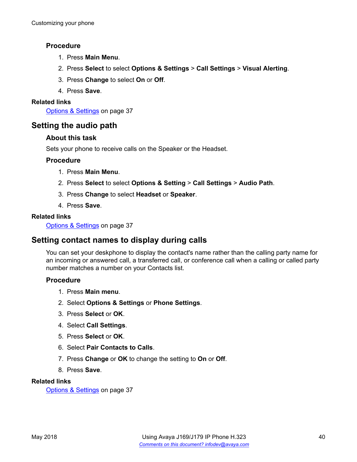#### <span id="page-39-0"></span>**Procedure**

- 1. Press **Main Menu**.
- 2. Press **Select** to select **Options & Settings** > **Call Settings** > **Visual Alerting**.
- 3. Press **Change** to select **On** or **Off**.
- 4. Press **Save**.

#### **Related links**

[Options & Settings](#page-36-0) on page 37

### **Setting the audio path**

#### **About this task**

Sets your phone to receive calls on the Speaker or the Headset.

#### **Procedure**

- 1. Press **Main Menu**.
- 2. Press **Select** to select **Options & Setting** > **Call Settings** > **Audio Path**.
- 3. Press **Change** to select **Headset** or **Speaker**.
- 4. Press **Save**.

#### **Related links**

[Options & Settings](#page-36-0) on page 37

## **Setting contact names to display during calls**

You can set your deskphone to display the contact's name rather than the calling party name for an incoming or answered call, a transferred call, or conference call when a calling or called party number matches a number on your Contacts list.

#### **Procedure**

- 1. Press **Main menu**.
- 2. Select **Options & Settings** or **Phone Settings**.
- 3. Press **Select** or **OK**.
- 4. Select **Call Settings**.
- 5. Press **Select** or **OK**.
- 6. Select **Pair Contacts to Calls**.
- 7. Press **Change** or **OK** to change the setting to **On** or **Off**.
- 8. Press **Save**.

#### **Related links**

[Options & Settings](#page-36-0) on page 37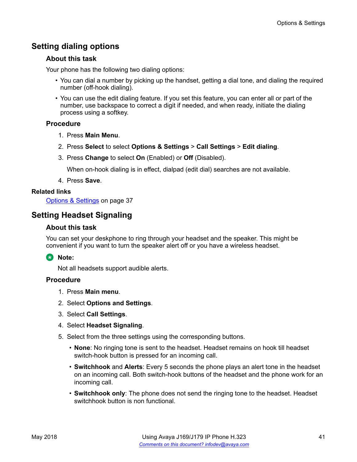## <span id="page-40-0"></span>**Setting dialing options**

#### **About this task**

Your phone has the following two dialing options:

- You can dial a number by picking up the handset, getting a dial tone, and dialing the required number (off-hook dialing).
- You can use the edit dialing feature. If you set this feature, you can enter all or part of the number, use backspace to correct a digit if needed, and when ready, initiate the dialing process using a softkey.

#### **Procedure**

- 1. Press **Main Menu**.
- 2. Press **Select** to select **Options & Settings** > **Call Settings** > **Edit dialing**.
- 3. Press **Change** to select **On** (Enabled) or **Off** (Disabled).

When on-hook dialing is in effect, dialpad (edit dial) searches are not available.

4. Press **Save**.

#### **Related links**

[Options & Settings](#page-36-0) on page 37

## **Setting Headset Signaling**

#### **About this task**

You can set your deskphone to ring through your headset and the speaker. This might be convenient if you want to turn the speaker alert off or you have a wireless headset.

### **B** Note:

Not all headsets support audible alerts.

- 1. Press **Main menu**.
- 2. Select **Options and Settings**.
- 3. Select **Call Settings**.
- 4. Select **Headset Signaling**.
- 5. Select from the three settings using the corresponding buttons.
	- **None**: No ringing tone is sent to the headset. Headset remains on hook till headset switch-hook button is pressed for an incoming call.
	- **Switchhook** and **Alerts**: Every 5 seconds the phone plays an alert tone in the headset on an incoming call. Both switch-hook buttons of the headset and the phone work for an incoming call.
	- **Switchhook only**: The phone does not send the ringing tone to the headset. Headset switchhook button is non functional.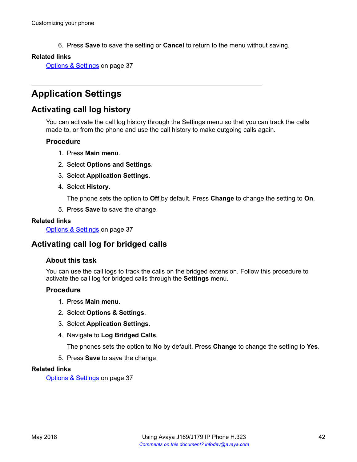6. Press **Save** to save the setting or **Cancel** to return to the menu without saving.

#### <span id="page-41-0"></span>**Related links**

[Options & Settings](#page-36-0) on page 37

# **Application Settings**

## **Activating call log history**

You can activate the call log history through the Settings menu so that you can track the calls made to, or from the phone and use the call history to make outgoing calls again.

#### **Procedure**

- 1. Press **Main menu**.
- 2. Select **Options and Settings**.
- 3. Select **Application Settings**.
- 4. Select **History**.

The phone sets the option to **Off** by default. Press **Change** to change the setting to **On**.

5. Press **Save** to save the change.

#### **Related links**

[Options & Settings](#page-36-0) on page 37

## **Activating call log for bridged calls**

#### **About this task**

You can use the call logs to track the calls on the bridged extension. Follow this procedure to activate the call log for bridged calls through the **Settings** menu.

#### **Procedure**

- 1. Press **Main menu**.
- 2. Select **Options & Settings**.
- 3. Select **Application Settings**.
- 4. Navigate to **Log Bridged Calls**.

The phones sets the option to **No** by default. Press **Change** to change the setting to **Yes**.

5. Press **Save** to save the change.

#### **Related links**

[Options & Settings](#page-36-0) on page 37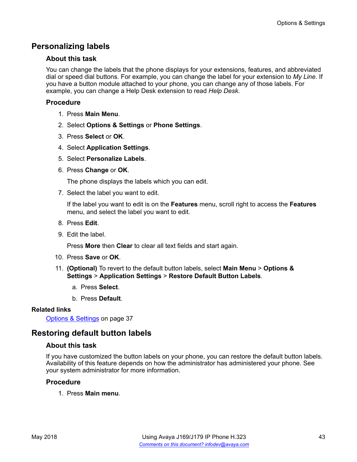### <span id="page-42-0"></span>**Personalizing labels**

#### **About this task**

You can change the labels that the phone displays for your extensions, features, and abbreviated dial or speed dial buttons. For example, you can change the label for your extension to *My Line*. If you have a button module attached to your phone, you can change any of those labels. For example, you can change a Help Desk extension to read *Help Desk*.

#### **Procedure**

- 1. Press **Main Menu**.
- 2. Select **Options & Settings** or **Phone Settings**.
- 3. Press **Select** or **OK**.
- 4. Select **Application Settings**.
- 5. Select **Personalize Labels**.
- 6. Press **Change** or **OK**.

The phone displays the labels which you can edit.

7. Select the label you want to edit.

If the label you want to edit is on the **Features** menu, scroll right to access the **Features** menu, and select the label you want to edit.

- 8. Press **Edit**.
- 9. Edit the label.

Press **More** then **Clear** to clear all text fields and start again.

- 10. Press **Save** or **OK**.
- 11. **(Optional)** To revert to the default button labels, select **Main Menu** > **Options & Settings** > **Application Settings** > **Restore Default Button Labels**.
	- a. Press **Select**.
	- b. Press **Default**.

#### **Related links**

[Options & Settings](#page-36-0) on page 37

## **Restoring default button labels**

#### **About this task**

If you have customized the button labels on your phone, you can restore the default button labels. Availability of this feature depends on how the administrator has administered your phone. See your system administrator for more information.

#### **Procedure**

1. Press **Main menu**.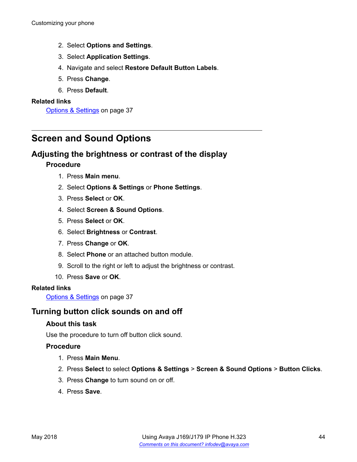- <span id="page-43-0"></span>2. Select **Options and Settings**.
- 3. Select **Application Settings**.
- 4. Navigate and select **Restore Default Button Labels**.
- 5. Press **Change**.
- 6. Press **Default**.

#### **Related links**

[Options & Settings](#page-36-0) on page 37

# **Screen and Sound Options**

### **Adjusting the brightness or contrast of the display**

#### **Procedure**

- 1. Press **Main menu**.
- 2. Select **Options & Settings** or **Phone Settings**.
- 3. Press **Select** or **OK**.
- 4. Select **Screen & Sound Options**.
- 5. Press **Select** or **OK**.
- 6. Select **Brightness** or **Contrast**.
- 7. Press **Change** or **OK**.
- 8. Select **Phone** or an attached button module.
- 9. Scroll to the right or left to adjust the brightness or contrast.
- 10. Press **Save** or **OK**.

#### **Related links**

[Options & Settings](#page-36-0) on page 37

## **Turning button click sounds on and off**

#### **About this task**

Use the procedure to turn off button click sound.

- 1. Press **Main Menu**.
- 2. Press **Select** to select **Options & Settings** > **Screen & Sound Options** > **Button Clicks**.
- 3. Press **Change** to turn sound on or off.
- 4. Press **Save**.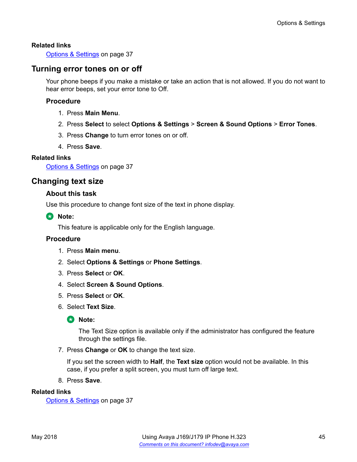#### <span id="page-44-0"></span>**Related links**

[Options & Settings](#page-36-0) on page 37

### **Turning error tones on or off**

Your phone beeps if you make a mistake or take an action that is not allowed. If you do not want to hear error beeps, set your error tone to Off.

#### **Procedure**

- 1. Press **Main Menu**.
- 2. Press **Select** to select **Options & Settings** > **Screen & Sound Options** > **Error Tones**.
- 3. Press **Change** to turn error tones on or off.
- 4. Press **Save**.

#### **Related links**

[Options & Settings](#page-36-0) on page 37

## **Changing text size**

#### **About this task**

Use this procedure to change font size of the text in phone display.

**R3** Note:

This feature is applicable only for the English language.

#### **Procedure**

- 1. Press **Main menu**.
- 2. Select **Options & Settings** or **Phone Settings**.
- 3. Press **Select** or **OK**.
- 4. Select **Screen & Sound Options**.
- 5. Press **Select** or **OK**.
- 6. Select **Text Size**.

#### **B** Note:

The Text Size option is available only if the administrator has configured the feature through the settings file.

7. Press **Change** or **OK** to change the text size.

If you set the screen width to **Half**, the **Text size** option would not be available. In this case, if you prefer a split screen, you must turn off large text.

8. Press **Save**.

#### **Related links**

[Options & Settings](#page-36-0) on page 37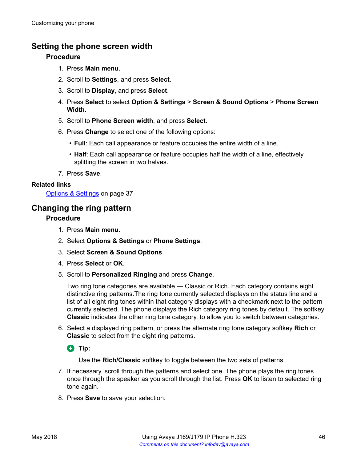# <span id="page-45-0"></span>**Setting the phone screen width**

#### **Procedure**

- 1. Press **Main menu**.
- 2. Scroll to **Settings**, and press **Select**.
- 3. Scroll to **Display**, and press **Select**.
- 4. Press **Select** to select **Option & Settings** > **Screen & Sound Options** > **Phone Screen Width**.
- 5. Scroll to **Phone Screen width**, and press **Select**.
- 6. Press **Change** to select one of the following options:
	- **Full**: Each call appearance or feature occupies the entire width of a line.
	- **Half**: Each call appearance or feature occupies half the width of a line, effectively splitting the screen in two halves.
- 7. Press **Save**.

#### **Related links**

[Options & Settings](#page-36-0) on page 37

### **Changing the ring pattern**

#### **Procedure**

- 1. Press **Main menu**.
- 2. Select **Options & Settings** or **Phone Settings**.
- 3. Select **Screen & Sound Options**.
- 4. Press **Select** or **OK**.
- 5. Scroll to **Personalized Ringing** and press **Change**.

Two ring tone categories are available — Classic or Rich. Each category contains eight distinctive ring patterns.The ring tone currently selected displays on the status line and a list of all eight ring tones within that category displays with a checkmark next to the pattern currently selected. The phone displays the Rich category ring tones by default. The softkey **Classic** indicates the other ring tone category, to allow you to switch between categories.

6. Select a displayed ring pattern, or press the alternate ring tone category softkey **Rich** or **Classic** to select from the eight ring patterns.

**D** Tip:

Use the **Rich/Classic** softkey to toggle between the two sets of patterns.

- 7. If necessary, scroll through the patterns and select one. The phone plays the ring tones once through the speaker as you scroll through the list. Press **OK** to listen to selected ring tone again.
- 8. Press **Save** to save your selection.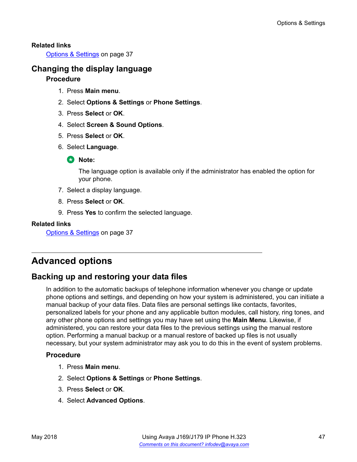#### <span id="page-46-0"></span>**Related links**

[Options & Settings](#page-36-0) on page 37

# **Changing the display language**

#### **Procedure**

- 1. Press **Main menu**.
- 2. Select **Options & Settings** or **Phone Settings**.
- 3. Press **Select** or **OK**.
- 4. Select **Screen & Sound Options**.
- 5. Press **Select** or **OK**.
- 6. Select **Language**.

**Note:**

The language option is available only if the administrator has enabled the option for your phone.

- 7. Select a display language.
- 8. Press **Select** or **OK**.
- 9. Press **Yes** to confirm the selected language.

#### **Related links**

[Options & Settings](#page-36-0) on page 37

# **Advanced options**

## **Backing up and restoring your data files**

In addition to the automatic backups of telephone information whenever you change or update phone options and settings, and depending on how your system is administered, you can initiate a manual backup of your data files. Data files are personal settings like contacts, favorites, personalized labels for your phone and any applicable button modules, call history, ring tones, and any other phone options and settings you may have set using the **Main Menu**. Likewise, if administered, you can restore your data files to the previous settings using the manual restore option. Performing a manual backup or a manual restore of backed up files is not usually necessary, but your system administrator may ask you to do this in the event of system problems.

- 1. Press **Main menu**.
- 2. Select **Options & Settings** or **Phone Settings**.
- 3. Press **Select** or **OK**.
- 4. Select **Advanced Options**.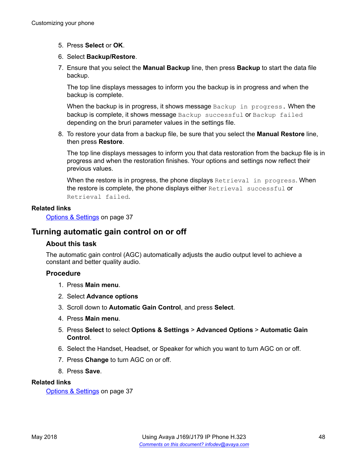- <span id="page-47-0"></span>5. Press **Select** or **OK**.
- 6. Select **Backup/Restore**.
- 7. Ensure that you select the **Manual Backup** line, then press **Backup** to start the data file backup.

The top line displays messages to inform you the backup is in progress and when the backup is complete.

When the backup is in progress, it shows message Backup in progress. When the backup is complete, it shows message Backup successful or Backup failed depending on the bruri parameter values in the settings file.

8. To restore your data from a backup file, be sure that you select the **Manual Restore** line, then press **Restore**.

The top line displays messages to inform you that data restoration from the backup file is in progress and when the restoration finishes. Your options and settings now reflect their previous values.

When the restore is in progress, the phone displays Retrieval in progress. When the restore is complete, the phone displays either Retrieval successful or Retrieval failed.

#### **Related links**

[Options & Settings](#page-36-0) on page 37

## **Turning automatic gain control on or off**

#### **About this task**

The automatic gain control (AGC) automatically adjusts the audio output level to achieve a constant and better quality audio.

#### **Procedure**

- 1. Press **Main menu**.
- 2. Select **Advance options**
- 3. Scroll down to **Automatic Gain Control**, and press **Select**.
- 4. Press **Main menu**.
- 5. Press **Select** to select **Options & Settings** > **Advanced Options** > **Automatic Gain Control**.
- 6. Select the Handset, Headset, or Speaker for which you want to turn AGC on or off.
- 7. Press **Change** to turn AGC on or off.
- 8. Press **Save**.

#### **Related links**

[Options & Settings](#page-36-0) on page 37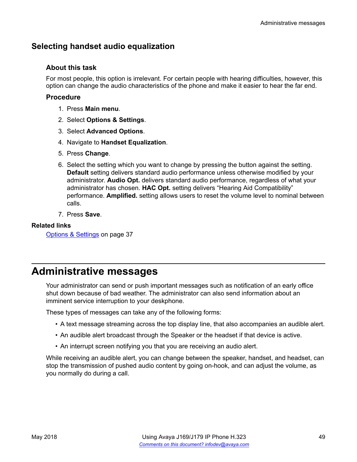## <span id="page-48-0"></span>**Selecting handset audio equalization**

#### **About this task**

For most people, this option is irrelevant. For certain people with hearing difficulties, however, this option can change the audio characteristics of the phone and make it easier to hear the far end.

#### **Procedure**

- 1. Press **Main menu**.
- 2. Select **Options & Settings**.
- 3. Select **Advanced Options**.
- 4. Navigate to **Handset Equalization**.
- 5. Press **Change**.
- 6. Select the setting which you want to change by pressing the button against the setting. **Default** setting delivers standard audio performance unless otherwise modified by your administrator. **Audio Opt.** delivers standard audio performance, regardless of what your administrator has chosen. **HAC Opt.** setting delivers "Hearing Aid Compatibility" performance. **Amplified.** setting allows users to reset the volume level to nominal between calls.
- 7. Press **Save**.

#### **Related links**

[Options & Settings](#page-36-0) on page 37

# **Administrative messages**

Your administrator can send or push important messages such as notification of an early office shut down because of bad weather. The administrator can also send information about an imminent service interruption to your deskphone.

These types of messages can take any of the following forms:

- A text message streaming across the top display line, that also accompanies an audible alert.
- An audible alert broadcast through the Speaker or the headset if that device is active.
- An interrupt screen notifying you that you are receiving an audio alert.

While receiving an audible alert, you can change between the speaker, handset, and headset, can stop the transmission of pushed audio content by going on-hook, and can adjust the volume, as you normally do during a call.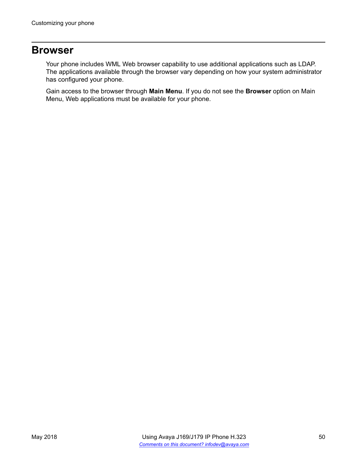# <span id="page-49-0"></span>**Browser**

Your phone includes WML Web browser capability to use additional applications such as LDAP. The applications available through the browser vary depending on how your system administrator has configured your phone.

Gain access to the browser through **Main Menu**. If you do not see the **Browser** option on Main Menu, Web applications must be available for your phone.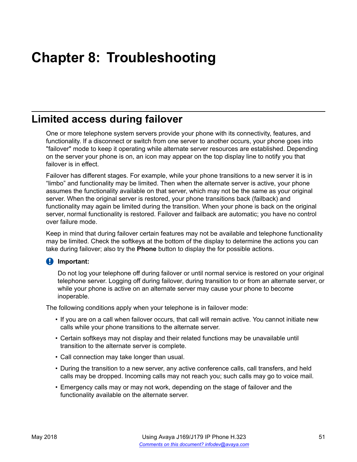# <span id="page-50-0"></span>**Chapter 8: Troubleshooting**

# **Limited access during failover**

One or more telephone system servers provide your phone with its connectivity, features, and functionality. If a disconnect or switch from one server to another occurs, your phone goes into "failover" mode to keep it operating while alternate server resources are established. Depending on the server your phone is on, an icon may appear on the top display line to notify you that failover is in effect.

Failover has different stages. For example, while your phone transitions to a new server it is in "limbo" and functionality may be limited. Then when the alternate server is active, your phone assumes the functionality available on that server, which may not be the same as your original server. When the original server is restored, your phone transitions back (failback) and functionality may again be limited during the transition. When your phone is back on the original server, normal functionality is restored. Failover and failback are automatic; you have no control over failure mode.

Keep in mind that during failover certain features may not be available and telephone functionality may be limited. Check the softkeys at the bottom of the display to determine the actions you can take during failover; also try the **Phone** button to display the for possible actions.

#### **Important:**

Do not log your telephone off during failover or until normal service is restored on your original telephone server. Logging off during failover, during transition to or from an alternate server, or while your phone is active on an alternate server may cause your phone to become inoperable.

The following conditions apply when your telephone is in failover mode:

- If you are on a call when failover occurs, that call will remain active. You cannot initiate new calls while your phone transitions to the alternate server.
- Certain softkeys may not display and their related functions may be unavailable until transition to the alternate server is complete.
- Call connection may take longer than usual.
- During the transition to a new server, any active conference calls, call transfers, and held calls may be dropped. Incoming calls may not reach you; such calls may go to voice mail.
- Emergency calls may or may not work, depending on the stage of failover and the functionality available on the alternate server.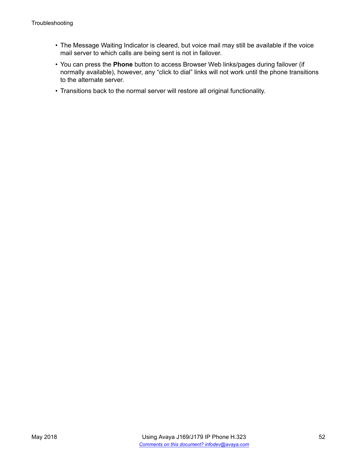- The Message Waiting Indicator is cleared, but voice mail may still be available if the voice mail server to which calls are being sent is not in failover.
- You can press the **Phone** button to access Browser Web links/pages during failover (if normally available), however, any "click to dial" links will not work until the phone transitions to the alternate server.
- Transitions back to the normal server will restore all original functionality.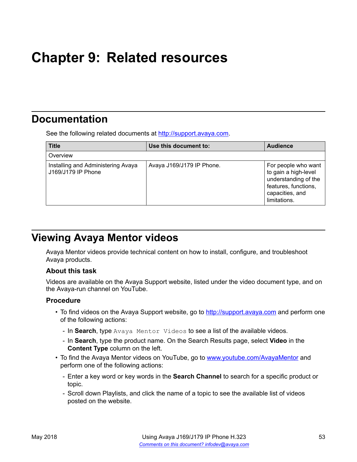# <span id="page-52-0"></span>**Chapter 9: Related resources**

# **Documentation**

See the following related documents at [http://support.avaya.com](http://support.avaya.com/).

| <b>Title</b>                                             | Use this document to:     | <b>Audience</b>                                                                                                                |
|----------------------------------------------------------|---------------------------|--------------------------------------------------------------------------------------------------------------------------------|
| Overview                                                 |                           |                                                                                                                                |
| Installing and Administering Avaya<br>J169/J179 IP Phone | Avaya J169/J179 IP Phone. | For people who want<br>to gain a high-level<br>understanding of the<br>features, functions,<br>capacities, and<br>limitations. |

# **Viewing Avaya Mentor videos**

Avaya Mentor videos provide technical content on how to install, configure, and troubleshoot Avaya products.

#### **About this task**

Videos are available on the Avaya Support website, listed under the video document type, and on the Avaya-run channel on YouTube.

- To find videos on the Avaya Support website, go to [http://support.avaya.com](http://support.avaya.com/) and perform one of the following actions:
	- In **Search**, type Avaya Mentor Videos to see a list of the available videos.
	- In **Search**, type the product name. On the Search Results page, select **Video** in the **Content Type** column on the left.
- To find the Avaya Mentor videos on YouTube, go to [www.youtube.com/AvayaMentor](http://www.youtube.com/AvayaMentor) and perform one of the following actions:
	- Enter a key word or key words in the **Search Channel** to search for a specific product or topic.
	- Scroll down Playlists, and click the name of a topic to see the available list of videos posted on the website.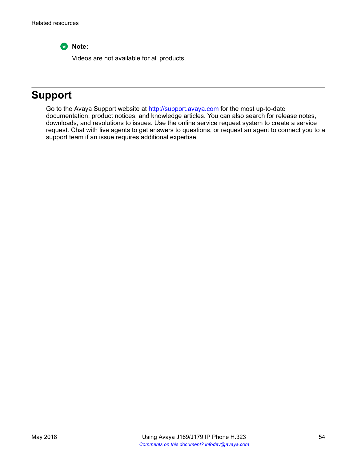<span id="page-53-0"></span>**Note:**

Videos are not available for all products.

# **Support**

Go to the Avaya Support website at <http://support.avaya.com> for the most up-to-date documentation, product notices, and knowledge articles. You can also search for release notes, downloads, and resolutions to issues. Use the online service request system to create a service request. Chat with live agents to get answers to questions, or request an agent to connect you to a support team if an issue requires additional expertise.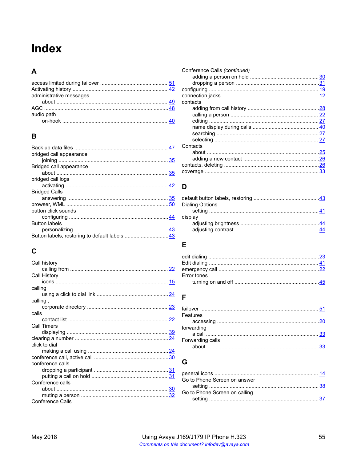# Index

## $\mathbf{A}$

| administrative messages |  |
|-------------------------|--|
|                         |  |
|                         |  |
| audio path              |  |
|                         |  |
|                         |  |

## $\mathbf{B}$

| bridged call appearance |  |
|-------------------------|--|
|                         |  |
| Bridged call appearance |  |
|                         |  |
| bridged call logs       |  |
|                         |  |
| <b>Bridged Calls</b>    |  |
|                         |  |
|                         |  |
| button click sounds     |  |
|                         |  |
| <b>Button labels</b>    |  |
|                         |  |
|                         |  |

## $\mathbf C$

| Call history            |  |
|-------------------------|--|
|                         |  |
| Call History            |  |
|                         |  |
| calling                 |  |
|                         |  |
| calling,                |  |
|                         |  |
| calls                   |  |
|                         |  |
| Call Timers             |  |
|                         |  |
|                         |  |
| click to dial           |  |
|                         |  |
|                         |  |
| conference calls        |  |
|                         |  |
|                         |  |
| Conference calls        |  |
|                         |  |
|                         |  |
| <b>Conference Calls</b> |  |

| Conference Calls (continued) |  |
|------------------------------|--|
|                              |  |
|                              |  |
|                              |  |
|                              |  |
| contacts                     |  |
|                              |  |
|                              |  |
|                              |  |
|                              |  |
|                              |  |
|                              |  |
| Contacts                     |  |
|                              |  |
|                              |  |
|                              |  |
|                              |  |
|                              |  |

## D

| Dialing Options |  |
|-----------------|--|
|                 |  |
| display         |  |
|                 |  |
|                 |  |

## $E$

| Error tones |  |
|-------------|--|
|             |  |

### F

| Features         |  |
|------------------|--|
|                  |  |
| forwarding       |  |
|                  |  |
| Forwarding calls |  |
|                  |  |

# G

| Go to Phone Screen on answer  |  |
|-------------------------------|--|
|                               |  |
| Go to Phone Screen on calling |  |
|                               |  |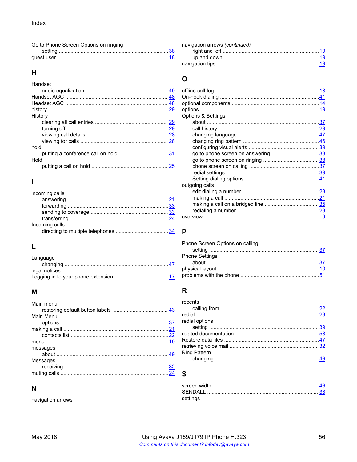| Go to Phone Screen Options on ringing |  |
|---------------------------------------|--|
|                                       |  |
|                                       |  |
|                                       |  |

#### $H$

#### Handset History hold Hold

### $\overline{1}$

| incoming calls |  |
|----------------|--|
|                |  |
|                |  |
|                |  |
|                |  |
| Incoming calls |  |
|                |  |

### L

| Language |
|----------|
|          |
|          |
|          |

#### M

| Main menu |
|-----------|
| Main Menu |
|           |
|           |
|           |
|           |
| messages  |
|           |
| Messages  |
|           |
|           |

#### N

navigation arrows

| navigation arrows (continued) |  |
|-------------------------------|--|
|                               |  |
|                               |  |
|                               |  |

### $\mathbf O$

| Options & Settings |  |
|--------------------|--|
|                    |  |
|                    |  |
|                    |  |
|                    |  |
|                    |  |
|                    |  |
|                    |  |
|                    |  |
|                    |  |
|                    |  |
| outgoing calls     |  |
|                    |  |
|                    |  |
|                    |  |
|                    |  |
|                    |  |
|                    |  |

#### P

| Phone Screen Options on calling |  |
|---------------------------------|--|
|                                 |  |
| <b>Phone Settings</b>           |  |
|                                 |  |
|                                 |  |
|                                 |  |

## R

| recents             |  |
|---------------------|--|
|                     |  |
|                     |  |
| redial options      |  |
|                     |  |
|                     |  |
|                     |  |
|                     |  |
| <b>Ring Pattern</b> |  |
|                     |  |
|                     |  |

## S

| settings |  |
|----------|--|